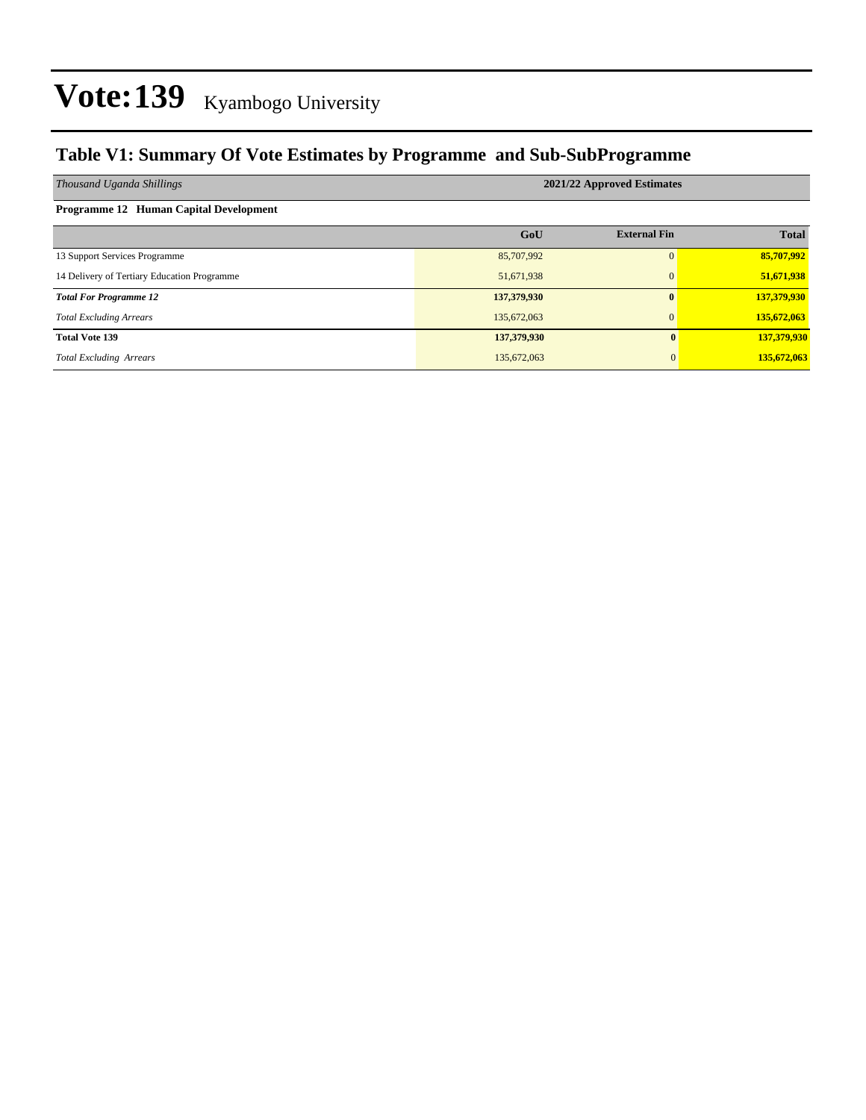### **Table V1: Summary Of Vote Estimates by Programme and Sub-SubProgramme**

| Thousand Uganda Shillings                   | 2021/22 Approved Estimates |                     |              |  |  |  |  |  |
|---------------------------------------------|----------------------------|---------------------|--------------|--|--|--|--|--|
| Programme 12 Human Capital Development      |                            |                     |              |  |  |  |  |  |
|                                             | GoU                        | <b>External Fin</b> | <b>Total</b> |  |  |  |  |  |
| 13 Support Services Programme               | 85,707,992                 | $\Omega$            | 85,707,992   |  |  |  |  |  |
| 14 Delivery of Tertiary Education Programme | 51,671,938                 | $\mathbf{0}$        | 51,671,938   |  |  |  |  |  |
| <b>Total For Programme 12</b>               | 137,379,930                | $\mathbf{0}$        | 137,379,930  |  |  |  |  |  |
| <b>Total Excluding Arrears</b>              | 135,672,063                | $\mathbf{0}$        | 135,672,063  |  |  |  |  |  |
| <b>Total Vote 139</b>                       | 137,379,930                | 0                   | 137,379,930  |  |  |  |  |  |
| <b>Total Excluding Arrears</b>              | 135,672,063                | $\Omega$            | 135,672,063  |  |  |  |  |  |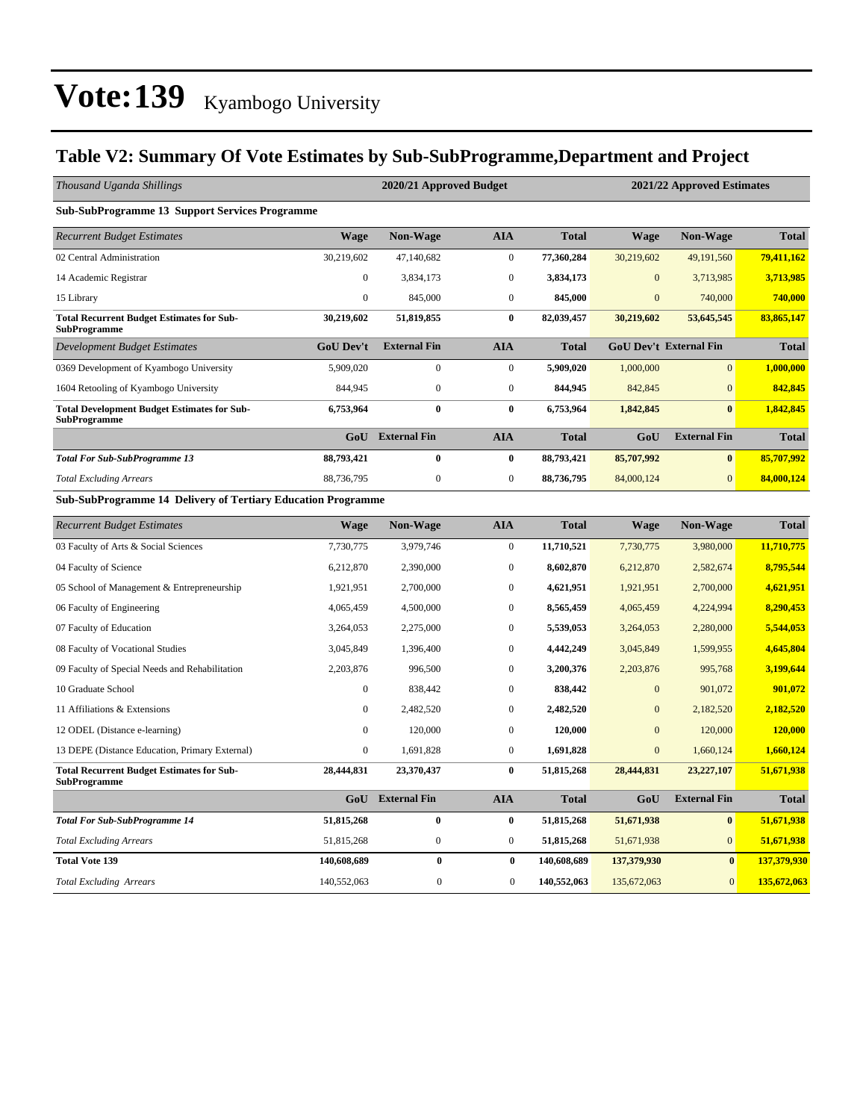### **Table V2: Summary Of Vote Estimates by Sub-SubProgramme,Department and Project**

| Thousand Uganda Shillings                                                 |                  | 2020/21 Approved Budget<br>2021/22 Approved Estimates |                  |              |                  |                               |              |  |  |
|---------------------------------------------------------------------------|------------------|-------------------------------------------------------|------------------|--------------|------------------|-------------------------------|--------------|--|--|
| <b>Sub-SubProgramme 13 Support Services Programme</b>                     |                  |                                                       |                  |              |                  |                               |              |  |  |
| <b>Recurrent Budget Estimates</b>                                         | <b>Wage</b>      | <b>Non-Wage</b>                                       | <b>AIA</b>       | <b>Total</b> | <b>Wage</b>      | <b>Non-Wage</b>               | <b>Total</b> |  |  |
| 02 Central Administration                                                 | 30,219,602       | 47,140,682                                            | $\boldsymbol{0}$ | 77,360,284   | 30,219,602       | 49,191,560                    | 79,411,162   |  |  |
| 14 Academic Registrar                                                     | $\boldsymbol{0}$ | 3,834,173                                             | $\boldsymbol{0}$ | 3,834,173    | $\mathbf{0}$     | 3,713,985                     | 3,713,985    |  |  |
| 15 Library                                                                | $\mathbf{0}$     | 845,000                                               | $\mathbf{0}$     | 845,000      | $\overline{0}$   | 740,000                       | 740,000      |  |  |
| <b>Total Recurrent Budget Estimates for Sub-</b><br><b>SubProgramme</b>   | 30,219,602       | 51,819,855                                            | $\bf{0}$         | 82,039,457   | 30,219,602       | 53,645,545                    | 83,865,147   |  |  |
| <b>Development Budget Estimates</b>                                       | <b>GoU Dev't</b> | <b>External Fin</b>                                   | <b>AIA</b>       | <b>Total</b> |                  | <b>GoU Dev't External Fin</b> | <b>Total</b> |  |  |
| 0369 Development of Kyambogo University                                   | 5,909,020        | $\overline{0}$                                        | $\overline{0}$   | 5,909,020    | 1,000,000        | $\overline{0}$                | 1,000,000    |  |  |
| 1604 Retooling of Kyambogo University                                     | 844,945          | $\boldsymbol{0}$                                      | $\boldsymbol{0}$ | 844,945      | 842,845          | $\overline{0}$                | 842,845      |  |  |
| <b>Total Development Budget Estimates for Sub-</b><br><b>SubProgramme</b> | 6,753,964        | $\bf{0}$                                              | $\bf{0}$         | 6,753,964    | 1,842,845        | $\bf{0}$                      | 1,842,845    |  |  |
|                                                                           | GoU              | <b>External Fin</b>                                   | <b>AIA</b>       | <b>Total</b> | GoU              | <b>External Fin</b>           | <b>Total</b> |  |  |
| <b>Total For Sub-SubProgramme 13</b>                                      | 88,793,421       | $\bf{0}$                                              | $\bf{0}$         | 88,793,421   | 85,707,992       | $\bf{0}$                      | 85,707,992   |  |  |
| <b>Total Excluding Arrears</b>                                            | 88,736,795       | $\boldsymbol{0}$                                      | $\boldsymbol{0}$ | 88,736,795   | 84,000,124       | $\overline{0}$                | 84,000,124   |  |  |
| Sub-SubProgramme 14 Delivery of Tertiary Education Programme              |                  |                                                       |                  |              |                  |                               |              |  |  |
| <b>Recurrent Budget Estimates</b>                                         | <b>Wage</b>      | <b>Non-Wage</b>                                       | <b>AIA</b>       | <b>Total</b> | <b>Wage</b>      | <b>Non-Wage</b>               | <b>Total</b> |  |  |
| 03 Faculty of Arts & Social Sciences                                      | 7,730,775        | 3,979,746                                             | $\overline{0}$   | 11,710,521   | 7,730,775        | 3,980,000                     | 11,710,775   |  |  |
| 04 Faculty of Science                                                     | 6,212,870        | 2,390,000                                             | $\boldsymbol{0}$ | 8,602,870    | 6,212,870        | 2,582,674                     | 8,795,544    |  |  |
| 05 School of Management & Entrepreneurship                                | 1,921,951        | 2,700,000                                             | $\overline{0}$   | 4,621,951    | 1,921,951        | 2,700,000                     | 4,621,951    |  |  |
| 06 Faculty of Engineering                                                 | 4,065,459        | 4,500,000                                             | $\boldsymbol{0}$ | 8,565,459    | 4,065,459        | 4,224,994                     | 8,290,453    |  |  |
| 07 Faculty of Education                                                   | 3,264,053        | 2,275,000                                             | $\mathbf{0}$     | 5,539,053    | 3,264,053        | 2,280,000                     | 5,544,053    |  |  |
| 08 Faculty of Vocational Studies                                          | 3,045,849        | 1,396,400                                             | $\boldsymbol{0}$ | 4,442,249    | 3,045,849        | 1,599,955                     | 4,645,804    |  |  |
| 09 Faculty of Special Needs and Rehabilitation                            | 2,203,876        | 996,500                                               | $\mathbf{0}$     | 3,200,376    | 2,203,876        | 995,768                       | 3,199,644    |  |  |
| 10 Graduate School                                                        | $\boldsymbol{0}$ | 838,442                                               | $\mathbf{0}$     | 838,442      | $\boldsymbol{0}$ | 901,072                       | 901,072      |  |  |
| 11 Affiliations & Extensions                                              | $\boldsymbol{0}$ | 2,482,520                                             | $\boldsymbol{0}$ | 2,482,520    | $\mathbf{0}$     | 2,182,520                     | 2,182,520    |  |  |
| 12 ODEL (Distance e-learning)                                             | $\mathbf{0}$     | 120,000                                               | $\mathbf{0}$     | 120,000      | $\mathbf{0}$     | 120,000                       | 120,000      |  |  |
| 13 DEPE (Distance Education, Primary External)                            | $\boldsymbol{0}$ | 1,691,828                                             | $\boldsymbol{0}$ | 1,691,828    | $\mathbf{0}$     | 1,660,124                     | 1,660,124    |  |  |
| <b>Total Recurrent Budget Estimates for Sub-</b><br><b>SubProgramme</b>   | 28,444,831       | 23,370,437                                            | $\bf{0}$         | 51,815,268   | 28,444,831       | 23,227,107                    | 51,671,938   |  |  |
|                                                                           | GoU              | <b>External Fin</b>                                   | <b>AIA</b>       | <b>Total</b> | GoU              | <b>External Fin</b>           | <b>Total</b> |  |  |
| <b>Total For Sub-SubProgramme 14</b>                                      | 51,815,268       | $\bf{0}$                                              | $\bf{0}$         | 51,815,268   | 51,671,938       | $\bf{0}$                      | 51,671,938   |  |  |
| <b>Total Excluding Arrears</b>                                            | 51,815,268       | $\boldsymbol{0}$                                      | $\boldsymbol{0}$ | 51,815,268   | 51,671,938       | $\mathbf{0}$                  | 51,671,938   |  |  |
| <b>Total Vote 139</b>                                                     | 140,608,689      | $\bf{0}$                                              | $\bf{0}$         | 140,608,689  | 137,379,930      | $\bf{0}$                      | 137,379,930  |  |  |
| <b>Total Excluding Arrears</b>                                            | 140,552,063      | $\mathbf{0}$                                          | $\mathbf{0}$     | 140,552,063  | 135,672,063      | $\overline{0}$                | 135,672,063  |  |  |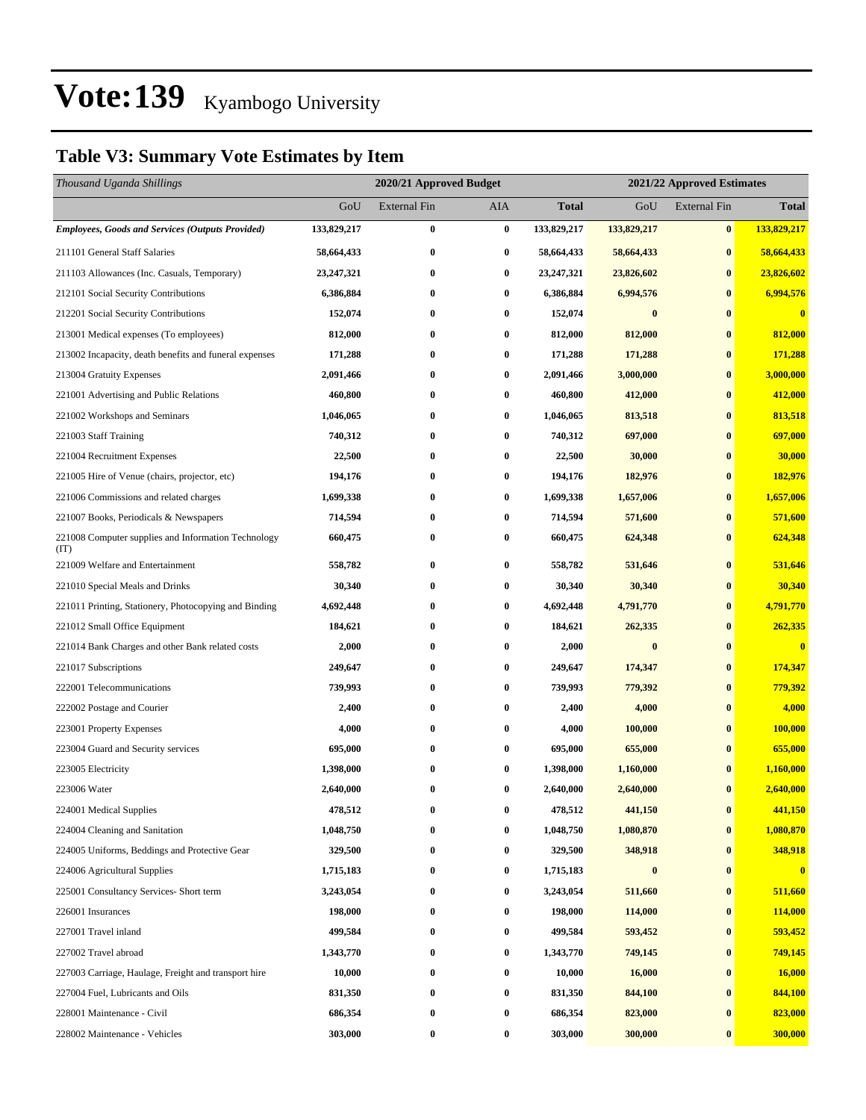### **Table V3: Summary Vote Estimates by Item**

| Thousand Uganda Shillings                                   |              | 2020/21 Approved Budget |                  |              | 2021/22 Approved Estimates |                     |              |
|-------------------------------------------------------------|--------------|-------------------------|------------------|--------------|----------------------------|---------------------|--------------|
|                                                             | GoU          | External Fin            | AIA              | <b>Total</b> | GoU                        | <b>External Fin</b> | <b>Total</b> |
| Employees, Goods and Services (Outputs Provided)            | 133,829,217  | $\bf{0}$                | $\bf{0}$         | 133,829,217  | 133,829,217                | $\bf{0}$            | 133,829,217  |
| 211101 General Staff Salaries                               | 58,664,433   | $\bf{0}$                | $\bf{0}$         | 58,664,433   | 58,664,433                 | $\bf{0}$            | 58,664,433   |
| 211103 Allowances (Inc. Casuals, Temporary)                 | 23, 247, 321 | $\bf{0}$                | $\boldsymbol{0}$ | 23,247,321   | 23,826,602                 | $\bf{0}$            | 23,826,602   |
| 212101 Social Security Contributions                        | 6,386,884    | $\bf{0}$                | $\bf{0}$         | 6,386,884    | 6,994,576                  | $\bf{0}$            | 6,994,576    |
| 212201 Social Security Contributions                        | 152,074      | $\bf{0}$                | 0                | 152,074      | $\bf{0}$                   | $\bf{0}$            | $\bf{0}$     |
| 213001 Medical expenses (To employees)                      | 812,000      | $\bf{0}$                | $\bf{0}$         | 812,000      | 812,000                    | $\bf{0}$            | 812,000      |
| 213002 Incapacity, death benefits and funeral expenses      | 171,288      | $\bf{0}$                | $\bf{0}$         | 171,288      | 171,288                    | $\bf{0}$            | 171,288      |
| 213004 Gratuity Expenses                                    | 2,091,466    | $\bf{0}$                | $\bf{0}$         | 2,091,466    | 3,000,000                  | $\bf{0}$            | 3,000,000    |
| 221001 Advertising and Public Relations                     | 460,800      | $\bf{0}$                | $\bf{0}$         | 460,800      | 412,000                    | $\bf{0}$            | 412,000      |
| 221002 Workshops and Seminars                               | 1,046,065    | $\bf{0}$                | 0                | 1,046,065    | 813,518                    | $\bf{0}$            | 813,518      |
| 221003 Staff Training                                       | 740,312      | $\bf{0}$                | $\bf{0}$         | 740,312      | 697,000                    | $\bf{0}$            | 697,000      |
| 221004 Recruitment Expenses                                 | 22,500       | $\bf{0}$                | $\bf{0}$         | 22,500       | 30,000                     | $\bf{0}$            | 30,000       |
| 221005 Hire of Venue (chairs, projector, etc)               | 194,176      | $\bf{0}$                | 0                | 194,176      | 182,976                    | $\bf{0}$            | 182,976      |
| 221006 Commissions and related charges                      | 1,699,338    | $\bf{0}$                | $\bf{0}$         | 1,699,338    | 1,657,006                  | $\bf{0}$            | 1,657,006    |
| 221007 Books, Periodicals & Newspapers                      | 714,594      | $\bf{0}$                | 0                | 714,594      | 571,600                    | $\bf{0}$            | 571,600      |
| 221008 Computer supplies and Information Technology<br>(TT) | 660,475      | $\bf{0}$                | 0                | 660,475      | 624,348                    | $\bf{0}$            | 624,348      |
| 221009 Welfare and Entertainment                            | 558,782      | $\bf{0}$                | $\bf{0}$         | 558,782      | 531,646                    | $\bf{0}$            | 531,646      |
| 221010 Special Meals and Drinks                             | 30,340       | $\bf{0}$                | $\bf{0}$         | 30,340       | 30,340                     | $\bf{0}$            | 30,340       |
| 221011 Printing, Stationery, Photocopying and Binding       | 4,692,448    | $\bf{0}$                | 0                | 4,692,448    | 4,791,770                  | $\bf{0}$            | 4,791,770    |
| 221012 Small Office Equipment                               | 184,621      | $\bf{0}$                | 0                | 184,621      | 262,335                    | $\bf{0}$            | 262,335      |
| 221014 Bank Charges and other Bank related costs            | 2,000        | $\bf{0}$                | 0                | 2,000        | $\bf{0}$                   | $\bf{0}$            | $\bf{0}$     |
| 221017 Subscriptions                                        | 249,647      | $\bf{0}$                | 0                | 249,647      | 174,347                    | $\bf{0}$            | 174,347      |
| 222001 Telecommunications                                   | 739,993      | $\bf{0}$                | $\bf{0}$         | 739,993      | 779,392                    | $\bf{0}$            | 779,392      |
| 222002 Postage and Courier                                  | 2,400        | $\bf{0}$                | 0                | 2,400        | 4,000                      | $\bf{0}$            | 4,000        |
| 223001 Property Expenses                                    | 4,000        | $\bf{0}$                | $\bf{0}$         | 4,000        | 100,000                    | $\bf{0}$            | 100,000      |
| 223004 Guard and Security services                          | 695,000      | $\bf{0}$                | 0                | 695,000      | 655,000                    | $\bf{0}$            | 655,000      |
| 223005 Electricity                                          | 1,398,000    | $\bf{0}$                | 0                | 1,398,000    | 1,160,000                  | $\bf{0}$            | 1,160,000    |
| 223006 Water                                                | 2,640,000    | $\bf{0}$                | 0                | 2,640,000    | 2,640,000                  | $\bf{0}$            | 2,640,000    |
| 224001 Medical Supplies                                     | 478,512      | $\bf{0}$                | $\boldsymbol{0}$ | 478,512      | 441,150                    | $\bf{0}$            | 441,150      |
| 224004 Cleaning and Sanitation                              | 1,048,750    | $\bf{0}$                | 0                | 1,048,750    | 1,080,870                  | $\bf{0}$            | 1,080,870    |
| 224005 Uniforms, Beddings and Protective Gear               | 329,500      | $\bf{0}$                | 0                | 329,500      | 348,918                    | $\bf{0}$            | 348,918      |
| 224006 Agricultural Supplies                                | 1,715,183    | $\bf{0}$                | $\boldsymbol{0}$ | 1,715,183    | $\bf{0}$                   | $\bf{0}$            | $\bf{0}$     |
| 225001 Consultancy Services- Short term                     | 3,243,054    | $\bf{0}$                | $\bf{0}$         | 3,243,054    | 511,660                    | $\boldsymbol{0}$    | 511,660      |
| 226001 Insurances                                           | 198,000      | $\bf{0}$                | 0                | 198,000      | 114,000                    | $\bf{0}$            | 114,000      |
| 227001 Travel inland                                        | 499,584      | $\bf{0}$                | 0                | 499,584      | 593,452                    | $\bf{0}$            | 593,452      |
| 227002 Travel abroad                                        | 1,343,770    | $\bf{0}$                | $\boldsymbol{0}$ | 1,343,770    | 749,145                    | $\bf{0}$            | 749,145      |
| 227003 Carriage, Haulage, Freight and transport hire        | 10,000       | $\bf{0}$                | 0                | 10,000       | 16,000                     | $\bf{0}$            | 16,000       |
| 227004 Fuel, Lubricants and Oils                            | 831,350      | $\bf{0}$                | $\bf{0}$         | 831,350      | 844,100                    | $\boldsymbol{0}$    | 844,100      |
| 228001 Maintenance - Civil                                  | 686,354      | $\bf{0}$                | 0                | 686,354      | 823,000                    | $\bf{0}$            | 823,000      |
| 228002 Maintenance - Vehicles                               | 303,000      | $\bf{0}$                | $\bf{0}$         | 303,000      | 300,000                    | $\bf{0}$            | 300,000      |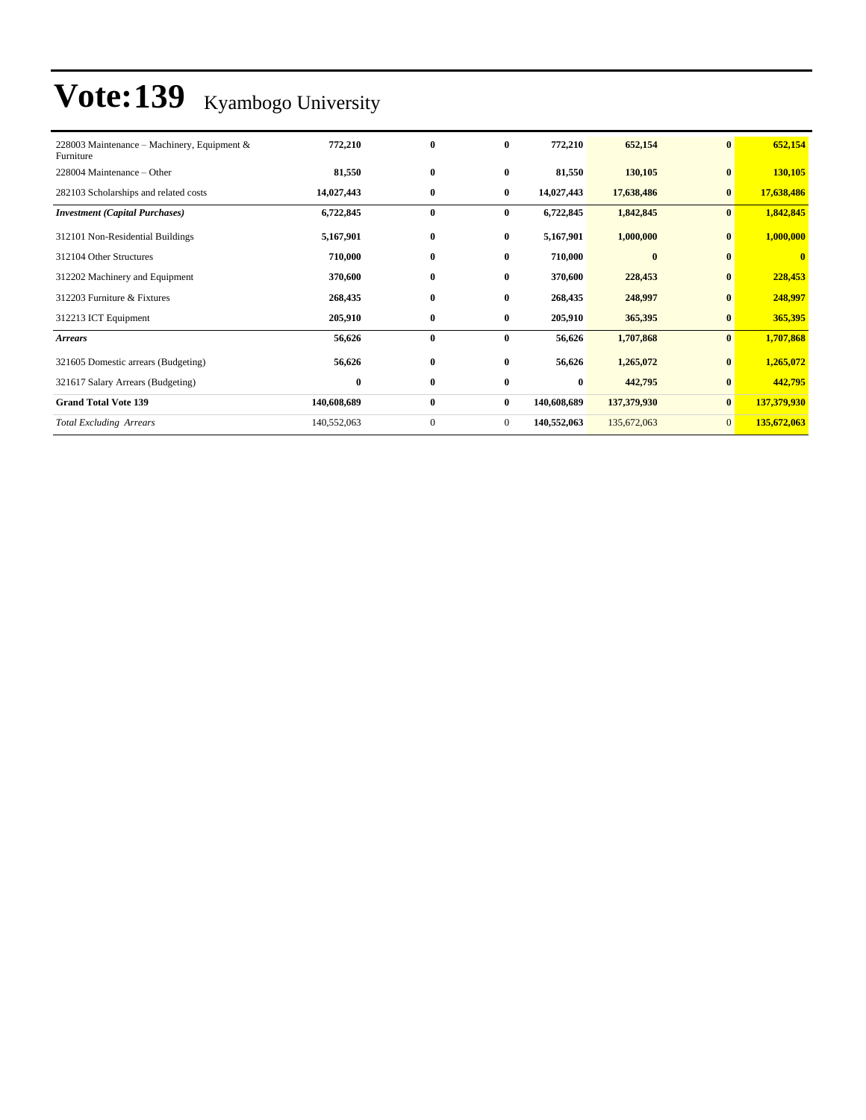| 228003 Maintenance – Machinery, Equipment &<br>Furniture | 772,210     | $\bf{0}$     | $\bf{0}$       | 772,210     | 652,154     | $\vert 0 \vert$ | 652,154      |
|----------------------------------------------------------|-------------|--------------|----------------|-------------|-------------|-----------------|--------------|
| 228004 Maintenance – Other                               | 81,550      | $\bf{0}$     | $\bf{0}$       | 81,550      | 130,105     | $\bf{0}$        | 130,105      |
| 282103 Scholarships and related costs                    | 14,027,443  | $\bf{0}$     | $\bf{0}$       | 14,027,443  | 17,638,486  | $\bf{0}$        | 17,638,486   |
| <b>Investment</b> (Capital Purchases)                    | 6,722,845   | $\bf{0}$     | $\bf{0}$       | 6,722,845   | 1,842,845   | $\mathbf{0}$    | 1,842,845    |
| 312101 Non-Residential Buildings                         | 5,167,901   | $\bf{0}$     | $\bf{0}$       | 5,167,901   | 1,000,000   | $\bf{0}$        | 1,000,000    |
| 312104 Other Structures                                  | 710,000     | $\bf{0}$     | $\bf{0}$       | 710,000     | $\bf{0}$    | $\mathbf{0}$    | $\mathbf{0}$ |
| 312202 Machinery and Equipment                           | 370,600     | $\bf{0}$     | $\bf{0}$       | 370,600     | 228,453     | $\bf{0}$        | 228,453      |
| 312203 Furniture & Fixtures                              | 268,435     | $\bf{0}$     | $\bf{0}$       | 268,435     | 248,997     | $\bf{0}$        | 248,997      |
| 312213 ICT Equipment                                     | 205,910     | $\bf{0}$     | $\bf{0}$       | 205,910     | 365,395     | $\bf{0}$        | 365,395      |
| <b>Arrears</b>                                           | 56,626      | $\bf{0}$     | $\bf{0}$       | 56,626      | 1,707,868   | $\bf{0}$        | 1,707,868    |
| 321605 Domestic arrears (Budgeting)                      | 56,626      | $\bf{0}$     | $\bf{0}$       | 56,626      | 1,265,072   | $\mathbf{0}$    | 1,265,072    |
| 321617 Salary Arrears (Budgeting)                        | $\bf{0}$    | $\bf{0}$     | $\bf{0}$       | $\bf{0}$    | 442,795     | $\bf{0}$        | 442,795      |
| <b>Grand Total Vote 139</b>                              | 140,608,689 | $\bf{0}$     | $\bf{0}$       | 140,608,689 | 137,379,930 | $\bf{0}$        | 137,379,930  |
| <b>Total Excluding Arrears</b>                           | 140,552,063 | $\mathbf{0}$ | $\overline{0}$ | 140,552,063 | 135,672,063 | $\overline{0}$  | 135,672,063  |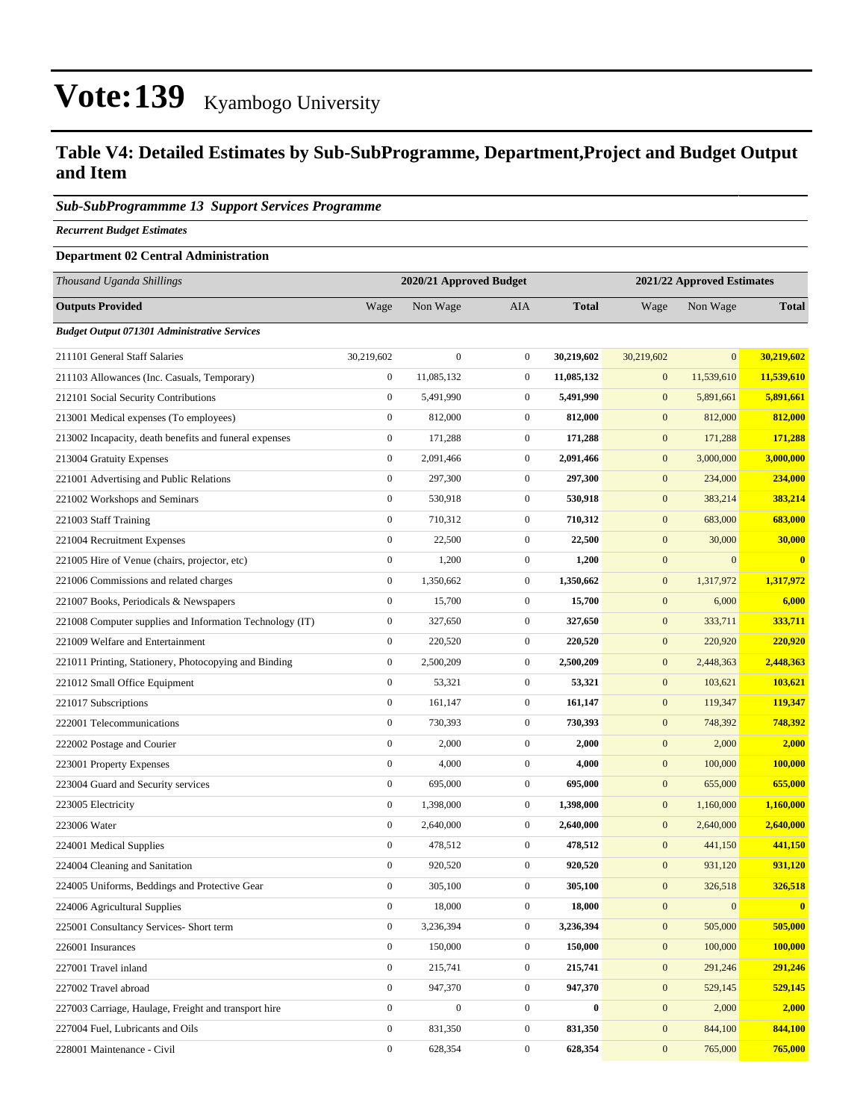### **Table V4: Detailed Estimates by Sub-SubProgramme, Department,Project and Budget Output and Item**

#### *Sub-SubProgrammme 13 Support Services Programme*

*Recurrent Budget Estimates*

#### **Department 02 Central Administration**

| Thousand Uganda Shillings                                |                  | 2020/21 Approved Budget |                  |              | 2021/22 Approved Estimates |              |              |
|----------------------------------------------------------|------------------|-------------------------|------------------|--------------|----------------------------|--------------|--------------|
| <b>Outputs Provided</b>                                  | Wage             | Non Wage                | AIA              | <b>Total</b> | Wage                       | Non Wage     | <b>Total</b> |
| <b>Budget Output 071301 Administrative Services</b>      |                  |                         |                  |              |                            |              |              |
| 211101 General Staff Salaries                            | 30,219,602       | $\boldsymbol{0}$        | $\overline{0}$   | 30,219,602   | 30,219,602                 | $\mathbf{0}$ | 30,219,602   |
| 211103 Allowances (Inc. Casuals, Temporary)              | $\boldsymbol{0}$ | 11,085,132              | $\mathbf{0}$     | 11,085,132   | $\mathbf{0}$               | 11,539,610   | 11,539,610   |
| 212101 Social Security Contributions                     | $\boldsymbol{0}$ | 5,491,990               | $\mathbf{0}$     | 5,491,990    | $\mathbf{0}$               | 5,891,661    | 5,891,661    |
| 213001 Medical expenses (To employees)                   | $\boldsymbol{0}$ | 812,000                 | $\mathbf{0}$     | 812,000      | $\mathbf{0}$               | 812,000      | 812,000      |
| 213002 Incapacity, death benefits and funeral expenses   | $\boldsymbol{0}$ | 171,288                 | $\boldsymbol{0}$ | 171,288      | $\mathbf{0}$               | 171,288      | 171,288      |
| 213004 Gratuity Expenses                                 | $\boldsymbol{0}$ | 2,091,466               | $\overline{0}$   | 2,091,466    | $\mathbf{0}$               | 3,000,000    | 3,000,000    |
| 221001 Advertising and Public Relations                  | $\boldsymbol{0}$ | 297,300                 | $\overline{0}$   | 297,300      | $\mathbf{0}$               | 234,000      | 234,000      |
| 221002 Workshops and Seminars                            | $\boldsymbol{0}$ | 530,918                 | $\mathbf{0}$     | 530,918      | $\mathbf{0}$               | 383,214      | 383,214      |
| 221003 Staff Training                                    | $\boldsymbol{0}$ | 710,312                 | $\mathbf{0}$     | 710,312      | $\mathbf{0}$               | 683,000      | 683,000      |
| 221004 Recruitment Expenses                              | $\boldsymbol{0}$ | 22,500                  | $\mathbf{0}$     | 22,500       | $\mathbf{0}$               | 30,000       | 30,000       |
| 221005 Hire of Venue (chairs, projector, etc)            | $\boldsymbol{0}$ | 1,200                   | $\overline{0}$   | 1,200        | $\mathbf{0}$               | $\mathbf{0}$ | $\bf{0}$     |
| 221006 Commissions and related charges                   | $\boldsymbol{0}$ | 1,350,662               | $\boldsymbol{0}$ | 1,350,662    | $\mathbf{0}$               | 1,317,972    | 1,317,972    |
| 221007 Books, Periodicals & Newspapers                   | $\boldsymbol{0}$ | 15,700                  | $\mathbf{0}$     | 15,700       | $\mathbf{0}$               | 6,000        | 6,000        |
| 221008 Computer supplies and Information Technology (IT) | $\boldsymbol{0}$ | 327,650                 | $\overline{0}$   | 327,650      | $\mathbf{0}$               | 333,711      | 333,711      |
| 221009 Welfare and Entertainment                         | $\boldsymbol{0}$ | 220,520                 | $\mathbf{0}$     | 220,520      | $\mathbf{0}$               | 220,920      | 220,920      |
| 221011 Printing, Stationery, Photocopying and Binding    | $\boldsymbol{0}$ | 2,500,209               | $\mathbf{0}$     | 2,500,209    | $\mathbf{0}$               | 2,448,363    | 2,448,363    |
| 221012 Small Office Equipment                            | $\mathbf{0}$     | 53,321                  | $\mathbf{0}$     | 53,321       | $\mathbf{0}$               | 103,621      | 103,621      |
| 221017 Subscriptions                                     | $\boldsymbol{0}$ | 161,147                 | $\mathbf{0}$     | 161,147      | $\mathbf{0}$               | 119,347      | 119,347      |
| 222001 Telecommunications                                | $\boldsymbol{0}$ | 730,393                 | $\mathbf{0}$     | 730,393      | $\mathbf{0}$               | 748,392      | 748,392      |
| 222002 Postage and Courier                               | $\boldsymbol{0}$ | 2,000                   | $\mathbf{0}$     | 2,000        | $\mathbf{0}$               | 2,000        | 2,000        |
| 223001 Property Expenses                                 | $\boldsymbol{0}$ | 4,000                   | $\overline{0}$   | 4,000        | $\mathbf{0}$               | 100,000      | 100,000      |
| 223004 Guard and Security services                       | $\boldsymbol{0}$ | 695,000                 | $\overline{0}$   | 695,000      | $\mathbf{0}$               | 655,000      | 655,000      |
| 223005 Electricity                                       | $\boldsymbol{0}$ | 1,398,000               | $\mathbf{0}$     | 1,398,000    | $\mathbf{0}$               | 1,160,000    | 1,160,000    |
| 223006 Water                                             | $\boldsymbol{0}$ | 2,640,000               | $\boldsymbol{0}$ | 2,640,000    | $\mathbf{0}$               | 2,640,000    | 2,640,000    |
| 224001 Medical Supplies                                  | $\boldsymbol{0}$ | 478,512                 | $\mathbf{0}$     | 478,512      | $\mathbf{0}$               | 441,150      | 441,150      |
| 224004 Cleaning and Sanitation                           | $\boldsymbol{0}$ | 920,520                 | $\mathbf{0}$     | 920,520      | $\mathbf{0}$               | 931,120      | 931,120      |
| 224005 Uniforms, Beddings and Protective Gear            | $\boldsymbol{0}$ | 305,100                 | $\mathbf{0}$     | 305,100      | $\mathbf{0}$               | 326,518      | 326,518      |
| 224006 Agricultural Supplies                             | $\boldsymbol{0}$ | 18,000                  | $\boldsymbol{0}$ | 18,000       | $\mathbf{0}$               | $\mathbf{0}$ | $\bf{0}$     |
| 225001 Consultancy Services- Short term                  | $\boldsymbol{0}$ | 3,236,394               | $\overline{0}$   | 3,236,394    | $\boldsymbol{0}$           | 505,000      | 505,000      |
| 226001 Insurances                                        | $\boldsymbol{0}$ | 150,000                 | $\boldsymbol{0}$ | 150,000      | $\boldsymbol{0}$           | 100,000      | 100,000      |
| 227001 Travel inland                                     | $\boldsymbol{0}$ | 215,741                 | $\boldsymbol{0}$ | 215,741      | $\mathbf{0}$               | 291,246      | 291,246      |
| 227002 Travel abroad                                     | $\boldsymbol{0}$ | 947,370                 | $\boldsymbol{0}$ | 947,370      | $\boldsymbol{0}$           | 529,145      | 529,145      |
| 227003 Carriage, Haulage, Freight and transport hire     | $\boldsymbol{0}$ | $\boldsymbol{0}$        | $\boldsymbol{0}$ | $\bf{0}$     | $\mathbf{0}$               | 2,000        | 2,000        |
| 227004 Fuel, Lubricants and Oils                         | $\boldsymbol{0}$ | 831,350                 | $\boldsymbol{0}$ | 831,350      | $\boldsymbol{0}$           | 844,100      | 844,100      |
| 228001 Maintenance - Civil                               | $\boldsymbol{0}$ | 628,354                 | $\boldsymbol{0}$ | 628,354      | $\boldsymbol{0}$           | 765,000      | 765,000      |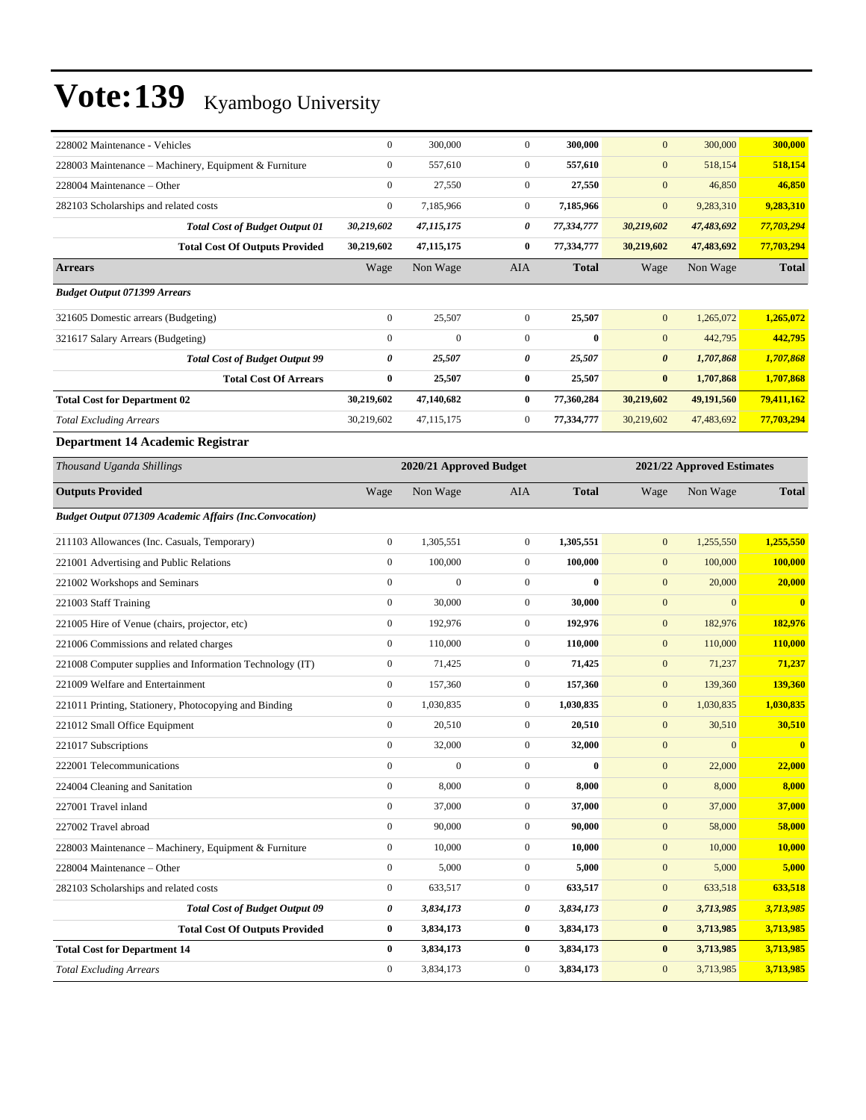| 228002 Maintenance - Vehicles                                  | $\boldsymbol{0}$ | 300,000                 | $\mathbf{0}$     | 300,000      | $\mathbf{0}$          | 300,000                    | 300,000      |
|----------------------------------------------------------------|------------------|-------------------------|------------------|--------------|-----------------------|----------------------------|--------------|
| 228003 Maintenance - Machinery, Equipment & Furniture          | $\boldsymbol{0}$ | 557,610                 | $\mathbf{0}$     | 557,610      | $\boldsymbol{0}$      | 518,154                    | 518,154      |
| 228004 Maintenance – Other                                     | $\boldsymbol{0}$ | 27,550                  | $\mathbf{0}$     | 27,550       | $\mathbf{0}$          | 46,850                     | 46,850       |
| 282103 Scholarships and related costs                          | $\boldsymbol{0}$ | 7,185,966               | $\mathbf{0}$     | 7,185,966    | $\boldsymbol{0}$      | 9,283,310                  | 9,283,310    |
| <b>Total Cost of Budget Output 01</b>                          | 30,219,602       | 47,115,175              | 0                | 77,334,777   | 30,219,602            | 47,483,692                 | 77,703,294   |
| <b>Total Cost Of Outputs Provided</b>                          | 30,219,602       | 47, 115, 175            | $\bf{0}$         | 77,334,777   | 30,219,602            | 47,483,692                 | 77,703,294   |
| <b>Arrears</b>                                                 | Wage             | Non Wage                | AIA              | <b>Total</b> | Wage                  | Non Wage                   | <b>Total</b> |
| <b>Budget Output 071399 Arrears</b>                            |                  |                         |                  |              |                       |                            |              |
| 321605 Domestic arrears (Budgeting)                            | $\boldsymbol{0}$ | 25,507                  | $\mathbf{0}$     | 25,507       | $\mathbf{0}$          | 1,265,072                  | 1,265,072    |
| 321617 Salary Arrears (Budgeting)                              | $\boldsymbol{0}$ | $\mathbf{0}$            | $\mathbf{0}$     | $\bf{0}$     | $\mathbf{0}$          | 442,795                    | 442,795      |
| <b>Total Cost of Budget Output 99</b>                          | 0                | 25,507                  | 0                | 25,507       | $\boldsymbol{\theta}$ | 1,707,868                  | 1,707,868    |
| <b>Total Cost Of Arrears</b>                                   | $\bf{0}$         | 25,507                  | $\bf{0}$         | 25,507       | $\bf{0}$              | 1,707,868                  | 1,707,868    |
| <b>Total Cost for Department 02</b>                            | 30,219,602       | 47,140,682              | $\bf{0}$         | 77,360,284   | 30,219,602            | 49,191,560                 | 79,411,162   |
| <b>Total Excluding Arrears</b>                                 | 30,219,602       | 47,115,175              | $\boldsymbol{0}$ | 77,334,777   | 30,219,602            | 47,483,692                 | 77,703,294   |
| Department 14 Academic Registrar                               |                  |                         |                  |              |                       |                            |              |
| Thousand Uganda Shillings                                      |                  | 2020/21 Approved Budget |                  |              |                       | 2021/22 Approved Estimates |              |
| <b>Outputs Provided</b>                                        | Wage             | Non Wage                | AIA              | <b>Total</b> | Wage                  | Non Wage                   | <b>Total</b> |
| <b>Budget Output 071309 Academic Affairs (Inc.Convocation)</b> |                  |                         |                  |              |                       |                            |              |
| 211103 Allowances (Inc. Casuals, Temporary)                    | $\boldsymbol{0}$ | 1,305,551               | $\mathbf{0}$     | 1,305,551    | $\boldsymbol{0}$      | 1,255,550                  | 1,255,550    |
| 221001 Advertising and Public Relations                        | $\boldsymbol{0}$ | 100,000                 | $\mathbf{0}$     | 100,000      | $\boldsymbol{0}$      | 100,000                    | 100,000      |
| 221002 Workshops and Seminars                                  | $\boldsymbol{0}$ | $\mathbf{0}$            | $\mathbf{0}$     | $\bf{0}$     | $\boldsymbol{0}$      | 20,000                     | 20,000       |
| 221003 Staff Training                                          | $\boldsymbol{0}$ | 30,000                  | $\mathbf{0}$     | 30,000       | $\boldsymbol{0}$      | $\mathbf{0}$               | $\bf{0}$     |
| 221005 Hire of Venue (chairs, projector, etc)                  | $\boldsymbol{0}$ | 192,976                 | $\mathbf{0}$     | 192,976      | $\boldsymbol{0}$      | 182,976                    | 182,976      |
| 221006 Commissions and related charges                         | $\boldsymbol{0}$ | 110,000                 | $\mathbf{0}$     | 110,000      | $\boldsymbol{0}$      | 110,000                    | 110,000      |
| 221008 Computer supplies and Information Technology (IT)       | $\boldsymbol{0}$ | 71,425                  | $\mathbf{0}$     | 71,425       | $\boldsymbol{0}$      | 71,237                     | 71,237       |
| 221009 Welfare and Entertainment                               | $\boldsymbol{0}$ | 157,360                 | $\mathbf{0}$     | 157,360      | $\boldsymbol{0}$      | 139,360                    | 139,360      |
| 221011 Printing, Stationery, Photocopying and Binding          | $\boldsymbol{0}$ | 1,030,835               | $\mathbf{0}$     | 1,030,835    | $\boldsymbol{0}$      | 1,030,835                  | 1,030,835    |
| 221012 Small Office Equipment                                  | $\boldsymbol{0}$ | 20,510                  | $\mathbf{0}$     | 20,510       | $\boldsymbol{0}$      | 30,510                     | 30,510       |
| 221017 Subscriptions                                           | $\boldsymbol{0}$ | 32,000                  | $\mathbf{0}$     | 32,000       | $\mathbf{0}$          | $\mathbf{0}$               | $\mathbf{0}$ |
| 222001 Telecommunications                                      | $\boldsymbol{0}$ | $\boldsymbol{0}$        | $\overline{0}$   | $\bf{0}$     | $\mathbf{0}$          | 22,000                     | 22,000       |
| 224004 Cleaning and Sanitation                                 | $\boldsymbol{0}$ | 8,000                   | $\mathbf{0}$     | 8,000        | $\mathbf{0}$          | 8,000                      | 8,000        |
| 227001 Travel inland                                           | $\boldsymbol{0}$ | 37,000                  | $\boldsymbol{0}$ | 37,000       | $\boldsymbol{0}$      | 37,000                     | 37,000       |
| 227002 Travel abroad                                           | $\boldsymbol{0}$ | 90,000                  | $\boldsymbol{0}$ | 90,000       | $\mathbf{0}$          | 58,000                     | 58,000       |
| 228003 Maintenance – Machinery, Equipment & Furniture          | $\boldsymbol{0}$ | 10,000                  | $\mathbf{0}$     | 10,000       | $\boldsymbol{0}$      | 10,000                     | 10,000       |
| 228004 Maintenance – Other                                     | $\boldsymbol{0}$ | 5,000                   | $\boldsymbol{0}$ | 5,000        | $\boldsymbol{0}$      | 5,000                      | 5,000        |
| 282103 Scholarships and related costs                          | $\boldsymbol{0}$ | 633,517                 | $\boldsymbol{0}$ | 633,517      | $\boldsymbol{0}$      | 633,518                    | 633,518      |
| <b>Total Cost of Budget Output 09</b>                          | 0                | 3,834,173               | 0                | 3,834,173    | $\boldsymbol{\theta}$ | 3,713,985                  | 3,713,985    |
| <b>Total Cost Of Outputs Provided</b>                          | $\bf{0}$         | 3,834,173               | $\bf{0}$         | 3,834,173    | $\bf{0}$              | 3,713,985                  | 3,713,985    |
| <b>Total Cost for Department 14</b>                            | $\bf{0}$         | 3,834,173               | $\bf{0}$         | 3,834,173    | $\bf{0}$              | 3,713,985                  | 3,713,985    |
| <b>Total Excluding Arrears</b>                                 | $\boldsymbol{0}$ | 3,834,173               | $\boldsymbol{0}$ | 3,834,173    | $\boldsymbol{0}$      | 3,713,985                  | 3,713,985    |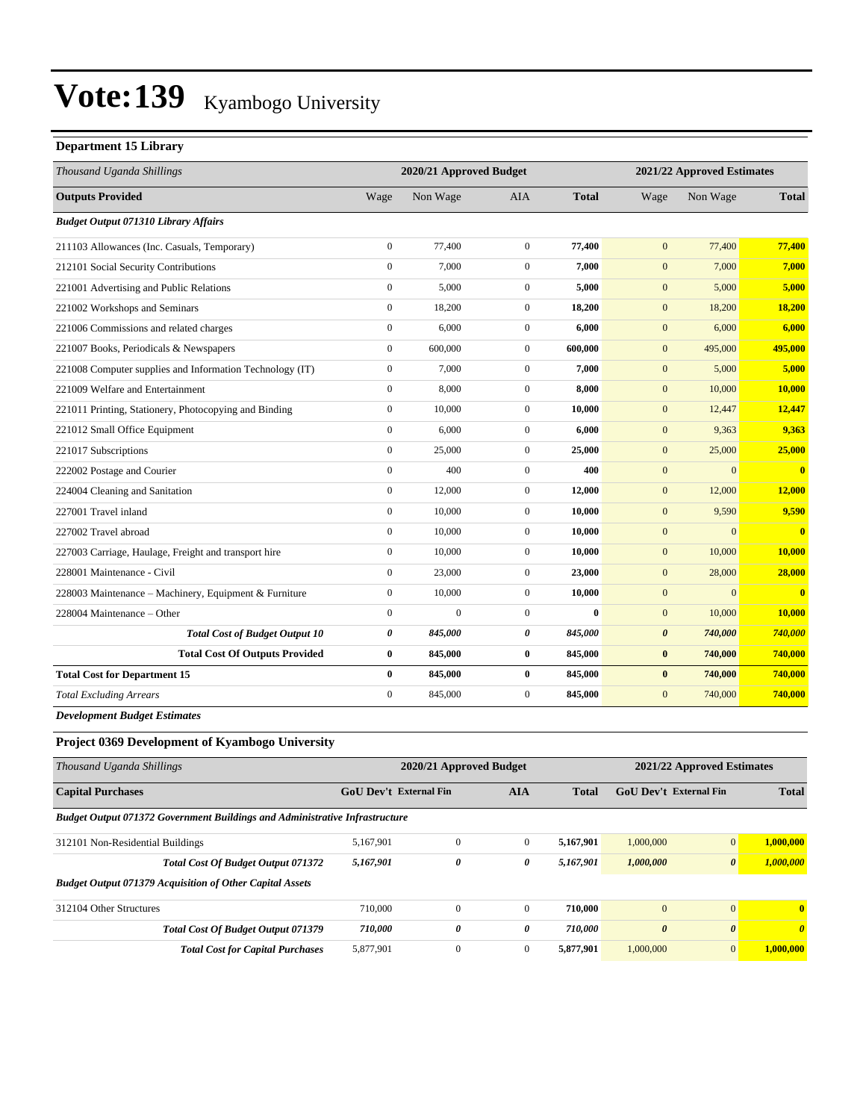### **Department 15 Library**

| Thousand Uganda Shillings                                |                  | 2020/21 Approved Budget |                  | 2021/22 Approved Estimates |                       |              |                         |
|----------------------------------------------------------|------------------|-------------------------|------------------|----------------------------|-----------------------|--------------|-------------------------|
| <b>Outputs Provided</b>                                  | Wage             | Non Wage                | <b>AIA</b>       | <b>Total</b>               | Wage                  | Non Wage     | <b>Total</b>            |
| <b>Budget Output 071310 Library Affairs</b>              |                  |                         |                  |                            |                       |              |                         |
| 211103 Allowances (Inc. Casuals, Temporary)              | $\mathbf{0}$     | 77,400                  | $\mathbf{0}$     | 77,400                     | $\mathbf{0}$          | 77,400       | 77,400                  |
| 212101 Social Security Contributions                     | $\mathbf{0}$     | 7,000                   | $\boldsymbol{0}$ | 7,000                      | $\mathbf{0}$          | 7,000        | 7,000                   |
| 221001 Advertising and Public Relations                  | $\mathbf{0}$     | 5.000                   | $\overline{0}$   | 5,000                      | $\mathbf{0}$          | 5,000        | 5.000                   |
| 221002 Workshops and Seminars                            | $\mathbf{0}$     | 18,200                  | $\overline{0}$   | 18,200                     | $\mathbf{0}$          | 18,200       | 18,200                  |
| 221006 Commissions and related charges                   | $\boldsymbol{0}$ | 6,000                   | $\boldsymbol{0}$ | 6,000                      | $\mathbf{0}$          | 6,000        | 6,000                   |
| 221007 Books, Periodicals & Newspapers                   | $\mathbf{0}$     | 600,000                 | $\overline{0}$   | 600,000                    | $\mathbf{0}$          | 495,000      | 495,000                 |
| 221008 Computer supplies and Information Technology (IT) | $\mathbf{0}$     | 7,000                   | $\overline{0}$   | 7,000                      | $\mathbf{0}$          | 5,000        | 5,000                   |
| 221009 Welfare and Entertainment                         | $\mathbf{0}$     | 8,000                   | $\overline{0}$   | 8,000                      | $\mathbf{0}$          | 10,000       | 10,000                  |
| 221011 Printing, Stationery, Photocopying and Binding    | $\mathbf{0}$     | 10,000                  | $\mathbf{0}$     | 10,000                     | $\mathbf{0}$          | 12,447       | 12,447                  |
| 221012 Small Office Equipment                            | $\mathbf{0}$     | 6,000                   | $\overline{0}$   | 6,000                      | $\mathbf{0}$          | 9,363        | 9,363                   |
| 221017 Subscriptions                                     | $\mathbf{0}$     | 25,000                  | $\overline{0}$   | 25,000                     | $\mathbf{0}$          | 25,000       | 25,000                  |
| 222002 Postage and Courier                               | $\mathbf{0}$     | 400                     | $\mathbf{0}$     | 400                        | $\mathbf{0}$          | $\mathbf{0}$ | $\overline{\mathbf{0}}$ |
| 224004 Cleaning and Sanitation                           | $\mathbf{0}$     | 12,000                  | $\boldsymbol{0}$ | 12,000                     | $\mathbf{0}$          | 12,000       | 12,000                  |
| 227001 Travel inland                                     | $\mathbf{0}$     | 10,000                  | $\boldsymbol{0}$ | 10,000                     | $\mathbf{0}$          | 9,590        | 9,590                   |
| 227002 Travel abroad                                     | $\mathbf{0}$     | 10,000                  | $\overline{0}$   | 10,000                     | $\mathbf{0}$          | $\mathbf{0}$ | $\overline{\mathbf{0}}$ |
| 227003 Carriage, Haulage, Freight and transport hire     | $\mathbf{0}$     | 10,000                  | $\mathbf{0}$     | 10,000                     | $\mathbf{0}$          | 10,000       | 10,000                  |
| 228001 Maintenance - Civil                               | $\mathbf{0}$     | 23,000                  | $\mathbf{0}$     | 23,000                     | $\mathbf{0}$          | 28,000       | 28,000                  |
| 228003 Maintenance - Machinery, Equipment & Furniture    | $\mathbf{0}$     | 10,000                  | $\overline{0}$   | 10,000                     | $\mathbf{0}$          | $\Omega$     | $\overline{\mathbf{0}}$ |
| 228004 Maintenance – Other                               | $\mathbf{0}$     | $\overline{0}$          | $\overline{0}$   | $\bf{0}$                   | $\mathbf{0}$          | 10,000       | 10,000                  |
| <b>Total Cost of Budget Output 10</b>                    | 0                | 845,000                 | 0                | 845,000                    | $\boldsymbol{\theta}$ | 740,000      | 740,000                 |
| <b>Total Cost Of Outputs Provided</b>                    | $\bf{0}$         | 845,000                 | $\bf{0}$         | 845,000                    | $\bf{0}$              | 740,000      | 740,000                 |
| <b>Total Cost for Department 15</b>                      | $\bf{0}$         | 845,000                 | $\bf{0}$         | 845,000                    | $\bf{0}$              | 740,000      | 740,000                 |
| <b>Total Excluding Arrears</b>                           | $\mathbf{0}$     | 845,000                 | $\overline{0}$   | 845,000                    | $\mathbf{0}$          | 740,000      | 740,000                 |

*Development Budget Estimates*

### **Project 0369 Development of Kyambogo University**

| Thousand Uganda Shillings                                                          |                                                             | 2020/21 Approved Budget |              |                               | 2021/22 Approved Estimates |                       |              |  |
|------------------------------------------------------------------------------------|-------------------------------------------------------------|-------------------------|--------------|-------------------------------|----------------------------|-----------------------|--------------|--|
| <b>Capital Purchases</b>                                                           | <b>GoU Dev't External Fin</b><br><b>AIA</b><br><b>Total</b> |                         |              | <b>GoU Dev't External Fin</b> |                            | <b>Total</b>          |              |  |
| <b>Budget Output 071372 Government Buildings and Administrative Infrastructure</b> |                                                             |                         |              |                               |                            |                       |              |  |
| 312101 Non-Residential Buildings                                                   | 5,167,901                                                   | $\mathbf{0}$            | $\mathbf{0}$ | 5.167.901                     | 1,000,000                  | $\mathbf{0}$          | 1,000,000    |  |
| <b>Total Cost Of Budget Output 071372</b>                                          | 5,167,901                                                   | 0                       | 0            | 5.167.901                     | 1,000,000                  | $\boldsymbol{\theta}$ | 1,000,000    |  |
| <b>Budget Output 071379 Acquisition of Other Capital Assets</b>                    |                                                             |                         |              |                               |                            |                       |              |  |
| 312104 Other Structures                                                            | 710,000                                                     | $\Omega$                | $\Omega$     | 710.000                       | $\mathbf{0}$               | $\mathbf{0}$          | $\mathbf{0}$ |  |
| Total Cost Of Budget Output 071379                                                 | 710,000                                                     | 0                       | 0            | 710,000                       | $\boldsymbol{\theta}$      | $\boldsymbol{\theta}$ | $\theta$     |  |
| <b>Total Cost for Capital Purchases</b>                                            | 5,877,901                                                   | $\mathbf{0}$            | $\mathbf{0}$ | 5,877,901                     | 1,000,000                  | $\overline{0}$        | 1.000.000    |  |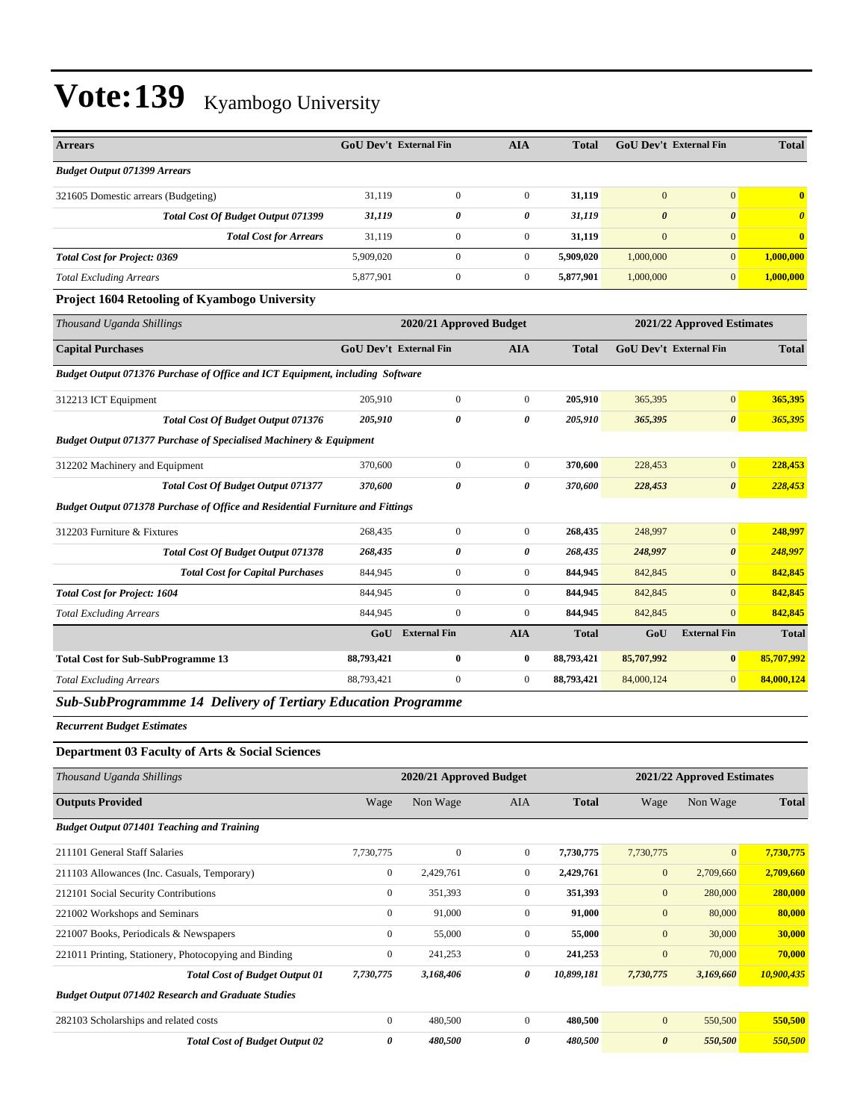| <b>Arrears</b>                                                                | <b>GoU Dev't External Fin</b> |                         | <b>AIA</b>     | <b>Total</b> | <b>GoU Dev't External Fin</b> |                       | <b>Total</b>                     |
|-------------------------------------------------------------------------------|-------------------------------|-------------------------|----------------|--------------|-------------------------------|-----------------------|----------------------------------|
| <b>Budget Output 071399 Arrears</b>                                           |                               |                         |                |              |                               |                       |                                  |
| 321605 Domestic arrears (Budgeting)                                           | 31,119                        | $\overline{0}$          | $\mathbf{0}$   | 31,119       | $\mathbf{0}$                  | $\overline{0}$        | $\overline{\mathbf{0}}$          |
| <b>Total Cost Of Budget Output 071399</b>                                     | 31,119                        | 0                       | 0              | 31,119       | $\boldsymbol{\theta}$         | $\boldsymbol{\theta}$ | $\overline{\boldsymbol{\theta}}$ |
| <b>Total Cost for Arrears</b>                                                 | 31,119                        | $\overline{0}$          | $\overline{0}$ | 31,119       | $\mathbf{0}$                  | $\overline{0}$        | $\overline{0}$                   |
| <b>Total Cost for Project: 0369</b>                                           | 5,909,020                     | $\overline{0}$          | $\overline{0}$ | 5,909,020    | 1,000,000                     | $\overline{0}$        | 1,000,000                        |
| <b>Total Excluding Arrears</b>                                                | 5,877,901                     | $\boldsymbol{0}$        | $\overline{0}$ | 5,877,901    | 1,000,000                     | $\vert 0 \vert$       | 1,000,000                        |
| <b>Project 1604 Retooling of Kyambogo University</b>                          |                               |                         |                |              |                               |                       |                                  |
| Thousand Uganda Shillings                                                     |                               | 2020/21 Approved Budget |                |              | 2021/22 Approved Estimates    |                       |                                  |
| <b>Capital Purchases</b>                                                      | <b>GoU Dev't External Fin</b> |                         | <b>AIA</b>     | <b>Total</b> | <b>GoU Dev't External Fin</b> |                       | <b>Total</b>                     |
| Budget Output 071376 Purchase of Office and ICT Equipment, including Software |                               |                         |                |              |                               |                       |                                  |
| 312213 ICT Equipment                                                          | 205,910                       | $\overline{0}$          | $\overline{0}$ | 205,910      | 365,395                       | $\mathbf{0}$          | 365,395                          |
| Total Cost Of Budget Output 071376                                            | 205,910                       | 0                       | 0              | 205,910      | 365,395                       | $\boldsymbol{\theta}$ | 365,395                          |
| <b>Budget Output 071377 Purchase of Specialised Machinery &amp; Equipment</b> |                               |                         |                |              |                               |                       |                                  |
| 312202 Machinery and Equipment                                                | 370,600                       | $\mathbf{0}$            | $\Omega$       | 370,600      | 228,453                       | $\overline{0}$        | 228,453                          |

312203 Furniture & Fixtures 268,435 0 0 **268,435** 248,997 0 **248,997**

*Total Cost for Project: 1604* 844,945 0 0 **844,945** 842,845 0 **842,845** *Total Excluding Arrears* 844,945 0 0 **844,945** 842,845 0 **842,845**

**Total Cost for Sub-SubProgramme 13 88,793,421 0 0 88,793,421 85,707,992 0 85,707,992** *Total Excluding Arrears* 88,793,421 0 0 **88,793,421** 84,000,124 0 **84,000,124**

*Total Cost Of Budget Output 071377 370,600 0 0 370,600 228,453 0 228,453*

*Total Cost Of Budget Output 071378 268,435 0 0 268,435 248,997 0 248,997 Total Cost for Capital Purchases* 844,945 0 0 **844,945** 842,845 0 **842,845**

**GoU External Fin AIA Total GoU External Fin Total**

#### *Sub-SubProgrammme 14 Delivery of Tertiary Education Programme*

*Budget Output 071378 Purchase of Office and Residential Furniture and Fittings*

*Recurrent Budget Estimates*

#### **Department 03 Faculty of Arts & Social Sciences**

| Thousand Uganda Shillings                                 | 2020/21 Approved Budget |              |                |              |                       | 2021/22 Approved Estimates |              |  |
|-----------------------------------------------------------|-------------------------|--------------|----------------|--------------|-----------------------|----------------------------|--------------|--|
| <b>Outputs Provided</b>                                   | Wage                    | Non Wage     | <b>AIA</b>     | <b>Total</b> | Wage                  | Non Wage                   | <b>Total</b> |  |
| <b>Budget Output 071401 Teaching and Training</b>         |                         |              |                |              |                       |                            |              |  |
| 211101 General Staff Salaries                             | 7,730,775               | $\mathbf{0}$ | $\mathbf{0}$   | 7,730,775    | 7,730,775             | $\vert 0 \vert$            | 7,730,775    |  |
| 211103 Allowances (Inc. Casuals, Temporary)               | $\mathbf{0}$            | 2,429,761    | $\overline{0}$ | 2,429,761    | $\mathbf{0}$          | 2,709,660                  | 2,709,660    |  |
| 212101 Social Security Contributions                      | $\overline{0}$          | 351,393      | $\overline{0}$ | 351,393      | $\mathbf{0}$          | 280,000                    | 280,000      |  |
| 221002 Workshops and Seminars                             | $\mathbf{0}$            | 91,000       | $\overline{0}$ | 91,000       | $\mathbf{0}$          | 80,000                     | 80,000       |  |
| 221007 Books, Periodicals & Newspapers                    | $\mathbf{0}$            | 55,000       | $\overline{0}$ | 55,000       | $\mathbf{0}$          | 30,000                     | 30,000       |  |
| 221011 Printing, Stationery, Photocopying and Binding     | $\overline{0}$          | 241,253      | $\overline{0}$ | 241,253      | $\mathbf{0}$          | 70,000                     | 70,000       |  |
| <b>Total Cost of Budget Output 01</b>                     | 7,730,775               | 3,168,406    | 0              | 10,899,181   | 7,730,775             | 3,169,660                  | 10,900,435   |  |
| <b>Budget Output 071402 Research and Graduate Studies</b> |                         |              |                |              |                       |                            |              |  |
| 282103 Scholarships and related costs                     | $\mathbf{0}$            | 480,500      | $\overline{0}$ | 480,500      | $\mathbf{0}$          | 550,500                    | 550,500      |  |
| <b>Total Cost of Budget Output 02</b>                     | 0                       | 480,500      | 0              | 480,500      | $\boldsymbol{\theta}$ | 550,500                    | 550,500      |  |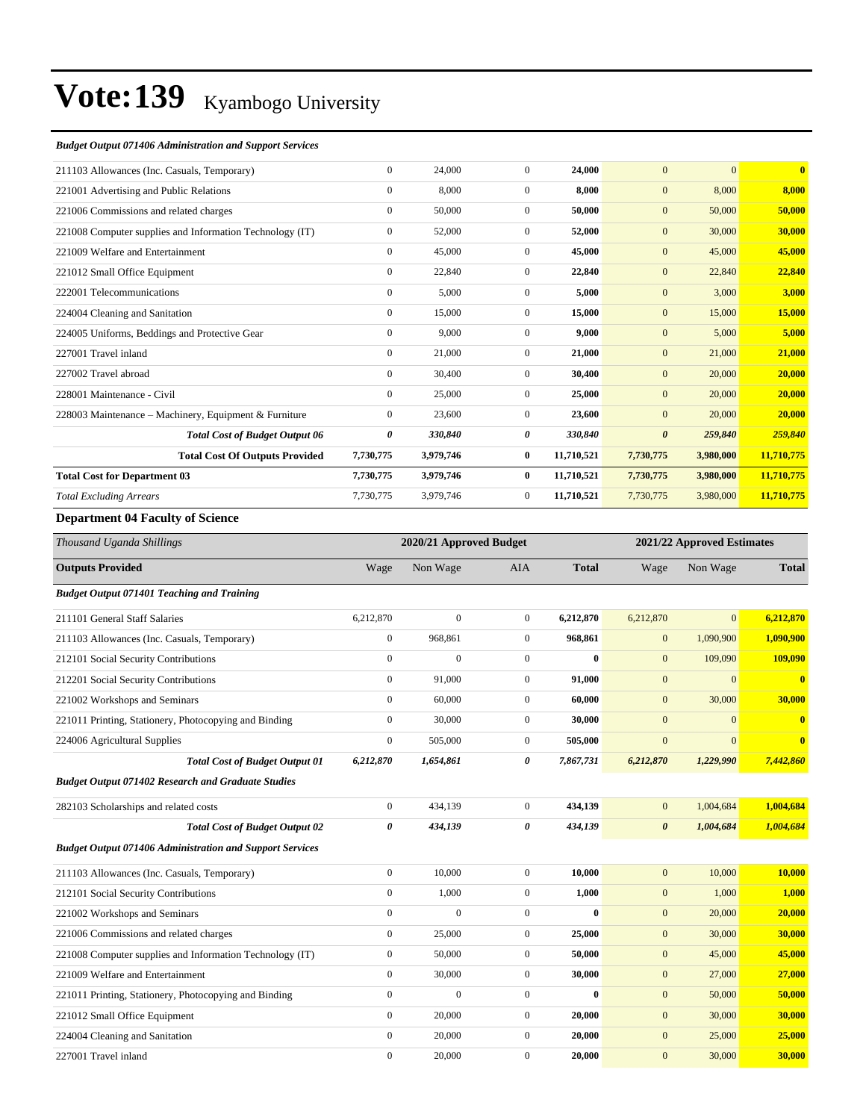#### *Budget Output 071406 Administration and Support Services*

| 211103 Allowances (Inc. Casuals, Temporary)              | $\mathbf{0}$     | 24,000    | $\Omega$       | 24,000     | $\overline{0}$   | $\overline{0}$ | $\overline{\mathbf{0}}$ |
|----------------------------------------------------------|------------------|-----------|----------------|------------|------------------|----------------|-------------------------|
| 221001 Advertising and Public Relations                  | $\mathbf{0}$     | 8,000     | $\Omega$       | 8.000      | $\overline{0}$   | 8,000          | 8,000                   |
| 221006 Commissions and related charges                   | $\mathbf{0}$     | 50,000    | $\overline{0}$ | 50,000     | $\mathbf{0}$     | 50,000         | 50,000                  |
| 221008 Computer supplies and Information Technology (IT) | $\mathbf{0}$     | 52,000    | $\overline{0}$ | 52,000     | $\mathbf{0}$     | 30,000         | 30,000                  |
| 221009 Welfare and Entertainment                         | $\mathbf{0}$     | 45,000    | $\overline{0}$ | 45,000     | $\mathbf{0}$     | 45,000         | 45,000                  |
| 221012 Small Office Equipment                            | $\boldsymbol{0}$ | 22,840    | $\overline{0}$ | 22,840     | $\mathbf{0}$     | 22,840         | 22,840                  |
| 222001 Telecommunications                                | $\mathbf{0}$     | 5,000     | $\overline{0}$ | 5,000      | $\boldsymbol{0}$ | 3,000          | 3,000                   |
| 224004 Cleaning and Sanitation                           | $\mathbf{0}$     | 15,000    | $\overline{0}$ | 15,000     | $\mathbf{0}$     | 15,000         | 15,000                  |
| 224005 Uniforms, Beddings and Protective Gear            | $\mathbf{0}$     | 9,000     | $\Omega$       | 9,000      | $\mathbf{0}$     | 5,000          | 5,000                   |
| 227001 Travel inland                                     | $\mathbf{0}$     | 21,000    | $\overline{0}$ | 21,000     | $\mathbf{0}$     | 21,000         | 21,000                  |
| 227002 Travel abroad                                     | $\mathbf{0}$     | 30,400    | $\overline{0}$ | 30,400     | $\overline{0}$   | 20,000         | 20,000                  |
| 228001 Maintenance - Civil                               | $\mathbf{0}$     | 25,000    | $\overline{0}$ | 25,000     | $\boldsymbol{0}$ | 20,000         | 20,000                  |
| 228003 Maintenance – Machinery, Equipment & Furniture    | $\mathbf{0}$     | 23,600    | $\overline{0}$ | 23,600     | $\boldsymbol{0}$ | 20,000         | 20,000                  |
| <b>Total Cost of Budget Output 06</b>                    | 0                | 330,840   | 0              | 330,840    | 0                | 259,840        | 259,840                 |
| <b>Total Cost Of Outputs Provided</b>                    | 7,730,775        | 3,979,746 | $\bf{0}$       | 11,710,521 | 7,730,775        | 3,980,000      | 11,710,775              |
| <b>Total Cost for Department 03</b>                      | 7,730,775        | 3,979,746 | $\bf{0}$       | 11,710,521 | 7,730,775        | 3,980,000      | 11,710,775              |
| <b>Total Excluding Arrears</b>                           | 7,730,775        | 3,979,746 | $\overline{0}$ | 11,710,521 | 7,730,775        | 3,980,000      | 11,710,775              |
| Department 04 Females of Colorado                        |                  |           |                |            |                  |                |                         |

#### **Department 04 Faculty of Science**

| Thousand Uganda Shillings                                       |                       | 2020/21 Approved Budget |                  |              |                       | 2021/22 Approved Estimates |                         |  |
|-----------------------------------------------------------------|-----------------------|-------------------------|------------------|--------------|-----------------------|----------------------------|-------------------------|--|
| <b>Outputs Provided</b>                                         | Wage                  | Non Wage                | <b>AIA</b>       | <b>Total</b> | Wage                  | Non Wage                   | <b>Total</b>            |  |
| <b>Budget Output 071401 Teaching and Training</b>               |                       |                         |                  |              |                       |                            |                         |  |
| 211101 General Staff Salaries                                   | 6,212,870             | $\boldsymbol{0}$        | $\boldsymbol{0}$ | 6,212,870    | 6,212,870             | $\mathbf{0}$               | 6,212,870               |  |
| 211103 Allowances (Inc. Casuals, Temporary)                     | $\boldsymbol{0}$      | 968,861                 | $\overline{0}$   | 968,861      | $\mathbf{0}$          | 1,090,900                  | 1,090,900               |  |
| 212101 Social Security Contributions                            | $\mathbf{0}$          | $\mathbf{0}$            | $\mathbf{0}$     | $\bf{0}$     | $\overline{0}$        | 109,090                    | 109,090                 |  |
| 212201 Social Security Contributions                            | $\mathbf{0}$          | 91,000                  | $\mathbf{0}$     | 91,000       | $\overline{0}$        | $\mathbf{0}$               | $\bf{0}$                |  |
| 221002 Workshops and Seminars                                   | $\mathbf{0}$          | 60,000                  | $\mathbf{0}$     | 60,000       | $\boldsymbol{0}$      | 30,000                     | 30,000                  |  |
| 221011 Printing, Stationery, Photocopying and Binding           | $\boldsymbol{0}$      | 30,000                  | $\boldsymbol{0}$ | 30,000       | $\mathbf{0}$          | $\mathbf{0}$               | $\bf{0}$                |  |
| 224006 Agricultural Supplies                                    | $\mathbf{0}$          | 505,000                 | $\overline{0}$   | 505,000      | $\overline{0}$        | $\mathbf{0}$               | $\overline{\mathbf{0}}$ |  |
| <b>Total Cost of Budget Output 01</b>                           | 6,212,870             | 1,654,861               | 0                | 7,867,731    | 6,212,870             | 1,229,990                  | 7,442,860               |  |
| <b>Budget Output 071402 Research and Graduate Studies</b>       |                       |                         |                  |              |                       |                            |                         |  |
| 282103 Scholarships and related costs                           | $\mathbf{0}$          | 434,139                 | $\overline{0}$   | 434,139      | $\mathbf{0}$          | 1,004,684                  | 1,004,684               |  |
| <b>Total Cost of Budget Output 02</b>                           | $\boldsymbol{\theta}$ | 434,139                 | 0                | 434,139      | $\boldsymbol{\theta}$ | 1,004,684                  | 1,004,684               |  |
| <b>Budget Output 071406 Administration and Support Services</b> |                       |                         |                  |              |                       |                            |                         |  |
| 211103 Allowances (Inc. Casuals, Temporary)                     | $\mathbf{0}$          | 10,000                  | $\boldsymbol{0}$ | 10,000       | $\mathbf{0}$          | 10,000                     | 10,000                  |  |
| 212101 Social Security Contributions                            | $\mathbf{0}$          | 1,000                   | $\boldsymbol{0}$ | 1,000        | $\boldsymbol{0}$      | 1,000                      | 1,000                   |  |
| 221002 Workshops and Seminars                                   | $\mathbf{0}$          | $\overline{0}$          | $\mathbf{0}$     | $\mathbf{0}$ | $\boldsymbol{0}$      | 20,000                     | 20,000                  |  |
| 221006 Commissions and related charges                          | $\mathbf{0}$          | 25,000                  | $\mathbf{0}$     | 25,000       | $\mathbf{0}$          | 30,000                     | 30,000                  |  |
| 221008 Computer supplies and Information Technology (IT)        | $\boldsymbol{0}$      | 50,000                  | $\mathbf{0}$     | 50,000       | $\mathbf{0}$          | 45,000                     | 45,000                  |  |
| 221009 Welfare and Entertainment                                | $\boldsymbol{0}$      | 30,000                  | $\mathbf{0}$     | 30,000       | $\boldsymbol{0}$      | 27,000                     | 27,000                  |  |
| 221011 Printing, Stationery, Photocopying and Binding           | $\boldsymbol{0}$      | $\mathbf{0}$            | $\boldsymbol{0}$ | $\mathbf{0}$ | $\mathbf{0}$          | 50,000                     | 50,000                  |  |
| 221012 Small Office Equipment                                   | $\Omega$              | 20,000                  | $\mathbf{0}$     | 20,000       | $\boldsymbol{0}$      | 30,000                     | 30,000                  |  |
| 224004 Cleaning and Sanitation                                  | $\mathbf{0}$          | 20,000                  | $\mathbf{0}$     | 20,000       | $\boldsymbol{0}$      | 25,000                     | 25,000                  |  |
| 227001 Travel inland                                            | $\mathbf{0}$          | 20,000                  | $\mathbf{0}$     | 20,000       | $\mathbf{0}$          | 30,000                     | 30,000                  |  |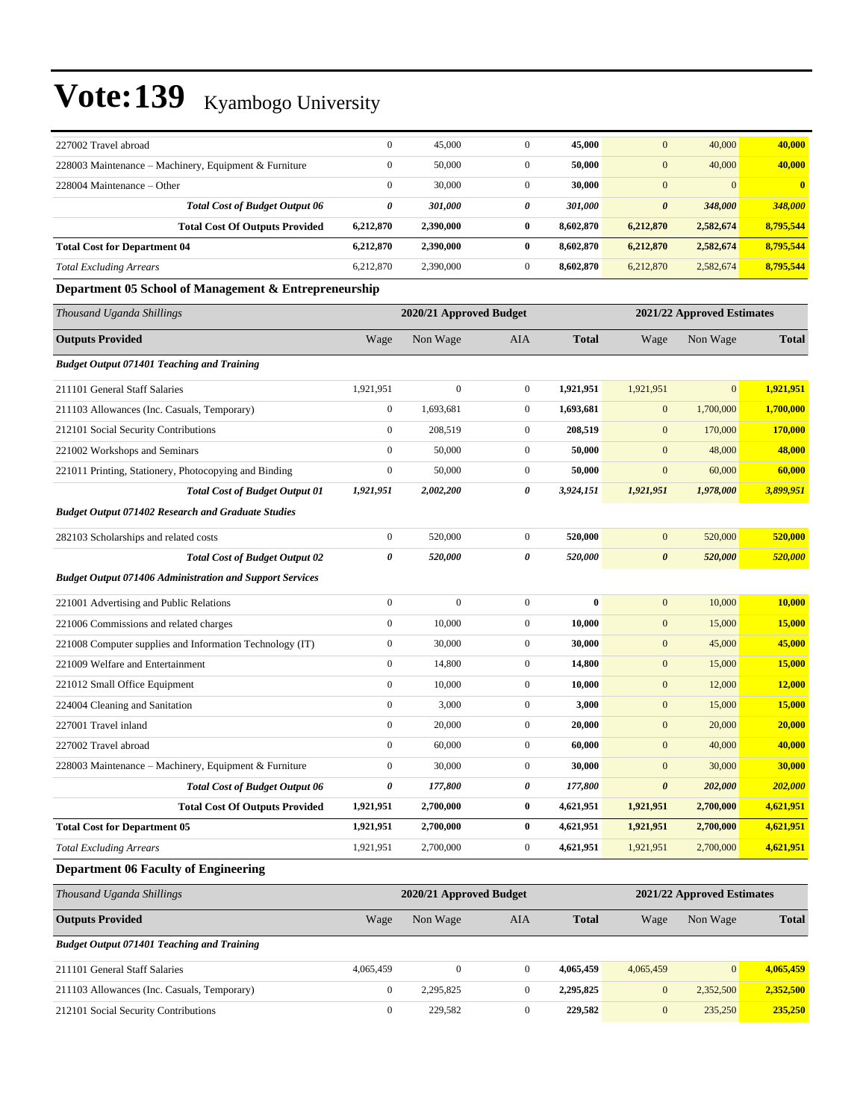| 227002 Travel abroad                                            | $\boldsymbol{0}$ | 45,000                  | $\mathbf{0}$     | 45,000       | $\boldsymbol{0}$      | 40,000                     | 40,000        |
|-----------------------------------------------------------------|------------------|-------------------------|------------------|--------------|-----------------------|----------------------------|---------------|
| 228003 Maintenance - Machinery, Equipment & Furniture           | $\mathbf{0}$     | 50,000                  | $\mathbf{0}$     | 50,000       | $\mathbf{0}$          | 40,000                     | 40,000        |
| 228004 Maintenance – Other                                      | $\boldsymbol{0}$ | 30,000                  | $\mathbf{0}$     | 30,000       | $\mathbf{0}$          | $\overline{0}$             | $\mathbf{0}$  |
| <b>Total Cost of Budget Output 06</b>                           | $\pmb{\theta}$   | 301,000                 | 0                | 301,000      | $\boldsymbol{\theta}$ | 348,000                    | 348,000       |
| <b>Total Cost Of Outputs Provided</b>                           | 6,212,870        | 2,390,000               | $\bf{0}$         | 8,602,870    | 6,212,870             | 2,582,674                  | 8,795,544     |
| <b>Total Cost for Department 04</b>                             | 6,212,870        | 2,390,000               | $\bf{0}$         | 8,602,870    | 6,212,870             | 2,582,674                  | 8,795,544     |
| <b>Total Excluding Arrears</b>                                  | 6,212,870        | 2,390,000               | $\mathbf{0}$     | 8,602,870    | 6,212,870             | 2,582,674                  | 8,795,544     |
| Department 05 School of Management & Entrepreneurship           |                  |                         |                  |              |                       |                            |               |
| Thousand Uganda Shillings                                       |                  | 2020/21 Approved Budget |                  |              |                       | 2021/22 Approved Estimates |               |
| <b>Outputs Provided</b>                                         | Wage             | Non Wage                | <b>AIA</b>       | <b>Total</b> | Wage                  | Non Wage                   | <b>Total</b>  |
| <b>Budget Output 071401 Teaching and Training</b>               |                  |                         |                  |              |                       |                            |               |
| 211101 General Staff Salaries                                   | 1,921,951        | $\boldsymbol{0}$        | $\mathbf{0}$     | 1,921,951    | 1,921,951             | $\mathbf{0}$               | 1,921,951     |
| 211103 Allowances (Inc. Casuals, Temporary)                     | $\boldsymbol{0}$ | 1,693,681               | $\mathbf{0}$     | 1,693,681    | $\mathbf{0}$          | 1,700,000                  | 1,700,000     |
| 212101 Social Security Contributions                            | $\boldsymbol{0}$ | 208,519                 | $\mathbf{0}$     | 208,519      | $\mathbf{0}$          | 170,000                    | 170,000       |
| 221002 Workshops and Seminars                                   | $\boldsymbol{0}$ | 50,000                  | $\mathbf{0}$     | 50,000       | $\boldsymbol{0}$      | 48,000                     | 48,000        |
| 221011 Printing, Stationery, Photocopying and Binding           | $\boldsymbol{0}$ | 50,000                  | $\mathbf{0}$     | 50,000       | $\mathbf{0}$          | 60,000                     | 60,000        |
| <b>Total Cost of Budget Output 01</b>                           | 1,921,951        | 2,002,200               | 0                | 3,924,151    | 1,921,951             | 1,978,000                  | 3,899,951     |
| <b>Budget Output 071402 Research and Graduate Studies</b>       |                  |                         |                  |              |                       |                            |               |
| 282103 Scholarships and related costs                           | $\boldsymbol{0}$ | 520,000                 | $\mathbf{0}$     | 520,000      | $\mathbf{0}$          | 520,000                    | 520,000       |
| <b>Total Cost of Budget Output 02</b>                           | 0                | 520,000                 | 0                | 520,000      | $\boldsymbol{\theta}$ | 520,000                    | 520,000       |
| <b>Budget Output 071406 Administration and Support Services</b> |                  |                         |                  |              |                       |                            |               |
| 221001 Advertising and Public Relations                         | $\boldsymbol{0}$ | $\mathbf{0}$            | $\mathbf{0}$     | $\bf{0}$     | $\overline{0}$        | 10,000                     | 10,000        |
| 221006 Commissions and related charges                          | $\boldsymbol{0}$ | 10,000                  | $\mathbf{0}$     | 10,000       | $\mathbf{0}$          | 15,000                     | 15,000        |
| 221008 Computer supplies and Information Technology (IT)        | $\boldsymbol{0}$ | 30,000                  | $\mathbf{0}$     | 30,000       | $\boldsymbol{0}$      | 45,000                     | 45,000        |
| 221009 Welfare and Entertainment                                | $\boldsymbol{0}$ | 14,800                  | $\boldsymbol{0}$ | 14,800       | $\boldsymbol{0}$      | 15,000                     | 15,000        |
| 221012 Small Office Equipment                                   | $\boldsymbol{0}$ | 10,000                  | $\mathbf{0}$     | 10,000       | $\mathbf{0}$          | 12,000                     | 12,000        |
| 224004 Cleaning and Sanitation                                  | $\boldsymbol{0}$ | 3,000                   | $\mathbf{0}$     | 3,000        | $\boldsymbol{0}$      | 15,000                     | <b>15,000</b> |
| 227001 Travel inland                                            | $\boldsymbol{0}$ | 20,000                  | $\mathbf{0}$     | 20,000       | $\boldsymbol{0}$      | 20,000                     | 20,000        |
| 227002 Travel abroad                                            | $\boldsymbol{0}$ | 60,000                  | $\mathbf{0}$     | 60,000       | $\mathbf{0}$          | 40,000                     | 40,000        |
| 228003 Maintenance – Machinery, Equipment & Furniture           | $\boldsymbol{0}$ | 30,000                  | $\mathbf{0}$     | 30,000       | $\overline{0}$        | 30,000                     | 30,000        |
| <b>Total Cost of Budget Output 06</b>                           | 0                | 177,800                 | 0                | 177,800      | $\boldsymbol{\theta}$ | 202,000                    | 202,000       |
| <b>Total Cost Of Outputs Provided</b>                           | 1,921,951        | 2,700,000               | $\boldsymbol{0}$ | 4,621,951    | 1,921,951             | 2,700,000                  | 4,621,951     |
| <b>Total Cost for Department 05</b>                             | 1,921,951        | 2,700,000               | $\bf{0}$         | 4,621,951    | 1,921,951             | 2,700,000                  | 4,621,951     |
| <b>Total Excluding Arrears</b>                                  | 1,921,951        | 2,700,000               | $\boldsymbol{0}$ | 4,621,951    | 1,921,951             | 2,700,000                  | 4,621,951     |
| <b>Department 06 Faculty of Engineering</b>                     |                  |                         |                  |              |                       |                            |               |
| Thousand Uganda Shillings                                       |                  | 2020/21 Approved Budget |                  |              |                       | 2021/22 Approved Estimates |               |
| <b>Outputs Provided</b>                                         | Wage             | Non Wage                | AIA              | <b>Total</b> | Wage                  | Non Wage                   | Total         |
| <b>Budget Output 071401 Teaching and Training</b>               |                  |                         |                  |              |                       |                            |               |

| 211101 General Staff Salaries               | 4,065,459 |           | 4.065.459 | 4,065,459 |           | 4,065,459 |
|---------------------------------------------|-----------|-----------|-----------|-----------|-----------|-----------|
| 211103 Allowances (Inc. Casuals, Temporary) |           | 2.295.825 | 2.295.825 |           | 2.352.500 | 2,352,500 |
| 212101 Social Security Contributions        |           | 229.582   | 229,582   |           | 235,250   | 235,250   |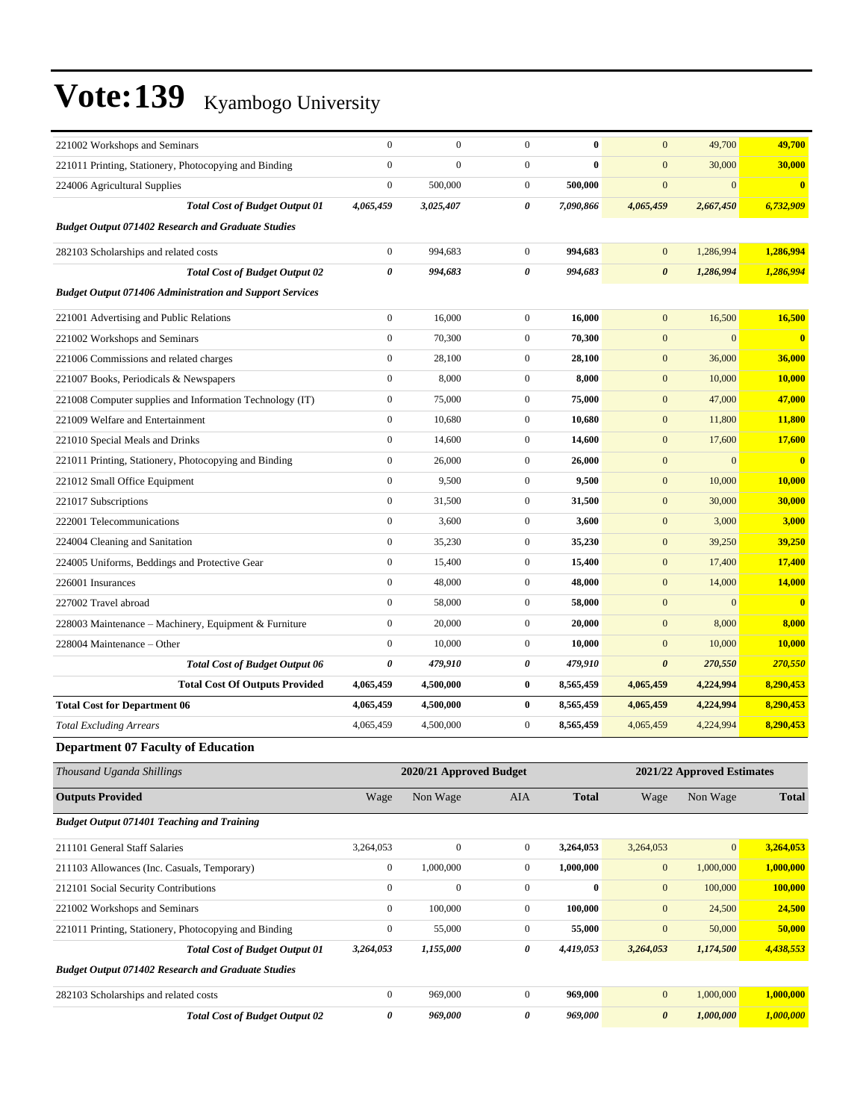| $\boldsymbol{0}$<br>221011 Printing, Stationery, Photocopying and Binding<br>$\boldsymbol{0}$<br>$\mathbf{0}$<br>$\bf{0}$<br>$\mathbf{0}$<br>30,000<br>30,000<br>$\boldsymbol{0}$<br>500,000<br>$\mathbf{0}$<br>$\mathbf{0}$<br>500,000<br>$\mathbf{0}$<br>$\bf{0}$<br>224006 Agricultural Supplies<br>4,065,459<br>3,025,407<br>0<br>7,090,866<br>4,065,459<br>6,732,909<br><b>Total Cost of Budget Output 01</b><br>2,667,450<br><b>Budget Output 071402 Research and Graduate Studies</b><br>1,286,994<br>282103 Scholarships and related costs<br>$\boldsymbol{0}$<br>994,683<br>$\mathbf{0}$<br>994,683<br>1,286,994<br>$\bf{0}$<br>$\pmb{\theta}$<br>0<br>994,683<br>1,286,994<br>1,286,994<br><b>Total Cost of Budget Output 02</b><br>994,683<br>$\boldsymbol{\theta}$<br><b>Budget Output 071406 Administration and Support Services</b><br>221001 Advertising and Public Relations<br>$\boldsymbol{0}$<br>16,000<br>$\mathbf{0}$<br>16,000<br>$\mathbf{0}$<br>16,500<br>16,500<br>$\boldsymbol{0}$<br>$\overline{0}$<br>$\mathbf{0}$<br>$\bf{0}$<br>221002 Workshops and Seminars<br>70,300<br>70,300<br>$\mathbf{0}$<br>$\boldsymbol{0}$<br>28,100<br>$\mathbf{0}$<br>28,100<br>$\mathbf{0}$<br>36,000<br>36,000<br>221006 Commissions and related charges<br>$\boldsymbol{0}$<br>8,000<br>$\mathbf{0}$<br>8,000<br>$\mathbf{0}$<br>10,000<br><b>10,000</b><br>221007 Books, Periodicals & Newspapers<br>$\boldsymbol{0}$<br>75,000<br>$\mathbf{0}$<br>75,000<br>$\mathbf{0}$<br>47,000<br>47,000<br>221008 Computer supplies and Information Technology (IT)<br>221009 Welfare and Entertainment<br>$\boldsymbol{0}$<br>10,680<br>$\mathbf{0}$<br>10,680<br>$\mathbf{0}$<br>11,800<br>11,800<br>221010 Special Meals and Drinks<br>$\boldsymbol{0}$<br>14,600<br>$\mathbf{0}$<br>14,600<br>$\mathbf{0}$<br>17,600<br>17,600<br>$\boldsymbol{0}$<br>26,000<br>$\mathbf{0}$<br>26,000<br>$\mathbf{0}$<br>$\boldsymbol{0}$<br>$\bf{0}$<br>221011 Printing, Stationery, Photocopying and Binding<br>$\boldsymbol{0}$<br>221012 Small Office Equipment<br>9,500<br>$\mathbf{0}$<br>9,500<br>$\mathbf{0}$<br>10,000<br>10,000<br>221017 Subscriptions<br>$\boldsymbol{0}$<br>31,500<br>$\mathbf{0}$<br>31,500<br>$\mathbf{0}$<br>30,000<br>30,000<br>$\boldsymbol{0}$<br>222001 Telecommunications<br>3,600<br>$\mathbf{0}$<br>3,600<br>$\mathbf{0}$<br>3,000<br>3,000<br>224004 Cleaning and Sanitation<br>$\boldsymbol{0}$<br>35,230<br>$\mathbf{0}$<br>35,230<br>$\mathbf{0}$<br>39,250<br>39,250<br>$\boldsymbol{0}$<br>15,400<br>$\mathbf{0}$<br>15,400<br>$\mathbf{0}$<br>17,400<br>17,400<br>224005 Uniforms, Beddings and Protective Gear<br>$\boldsymbol{0}$<br>48,000<br>$\mathbf{0}$<br>48,000<br>$\mathbf{0}$<br>14,000<br>14,000<br>226001 Insurances<br>227002 Travel abroad<br>$\mathbf{0}$<br>58,000<br>$\mathbf{0}$<br>58,000<br>$\mathbf{0}$<br>$\boldsymbol{0}$<br>$\bf{0}$<br>228003 Maintenance - Machinery, Equipment & Furniture<br>$\mathbf{0}$<br>20,000<br>$\mathbf{0}$<br>20,000<br>$\boldsymbol{0}$<br>8,000<br>8,000<br>228004 Maintenance - Other<br>$\mathbf{0}$<br>10,000<br>$\mathbf{0}$<br>10,000<br>$\boldsymbol{0}$<br>10,000<br>10,000<br>0<br>479,910<br>0<br>479,910<br>$\boldsymbol{\theta}$<br>270,550<br><b>Total Cost of Budget Output 06</b><br>270,550<br>8,290,453<br><b>Total Cost Of Outputs Provided</b><br>4,500,000<br>$\bf{0}$<br>4,224,994<br>4,065,459<br>8,565,459<br>4,065,459<br>8,290,453<br><b>Total Cost for Department 06</b><br>4,065,459<br>4,500,000<br>$\bf{0}$<br>8,565,459<br>4,065,459<br>4,224,994<br>8,290,453<br>4,500,000<br>$\mathbf{0}$<br>8,565,459<br>4,224,994<br><b>Total Excluding Arrears</b><br>4,065,459<br>4,065,459<br><b>Department 07 Faculty of Education</b><br>2020/21 Approved Budget<br>2021/22 Approved Estimates<br>Thousand Uganda Shillings<br><b>Total</b><br><b>Outputs Provided</b><br>Wage<br>Non Wage<br><b>Total</b><br>Wage<br>Non Wage<br>AIA<br><b>Budget Output 071401 Teaching and Training</b><br>3,264,053<br>$\boldsymbol{0}$<br>$\boldsymbol{0}$<br>$\boldsymbol{0}$<br>3,264,053<br>211101 General Staff Salaries<br>3,264,053<br>3,264,053<br>1,000,000<br>1,000,000<br>$\boldsymbol{0}$<br>$\boldsymbol{0}$<br>1,000,000<br>$\mathbf{0}$<br>1,000,000<br>211103 Allowances (Inc. Casuals, Temporary)<br>$\boldsymbol{0}$<br>$\boldsymbol{0}$<br>212101 Social Security Contributions<br>$\boldsymbol{0}$<br>$\bf{0}$<br>$\mathbf{0}$<br>100,000<br>100,000<br>221002 Workshops and Seminars<br>$\boldsymbol{0}$<br>100,000<br>$\boldsymbol{0}$<br>100,000<br>$\mathbf{0}$<br>24,500<br>24,500<br>221011 Printing, Stationery, Photocopying and Binding<br>$\boldsymbol{0}$<br>55,000<br>$\boldsymbol{0}$<br>55,000<br>$\boldsymbol{0}$<br>50,000<br>50,000<br>0<br><b>Total Cost of Budget Output 01</b><br>1,155,000<br>4,419,053<br>3,264,053<br>1,174,500<br>4,438,553<br>3,264,053<br><b>Budget Output 071402 Research and Graduate Studies</b><br>$\boldsymbol{0}$<br>$\boldsymbol{0}$<br>1,000,000<br>1,000,000<br>969,000<br>969,000<br>$\mathbf{0}$<br>282103 Scholarships and related costs | 221002 Workshops and Seminars | $\boldsymbol{0}$ | $\boldsymbol{0}$ | $\mathbf{0}$ | $\bf{0}$ | $\mathbf{0}$ | 49,700 | 49,700 |
|-----------------------------------------------------------------------------------------------------------------------------------------------------------------------------------------------------------------------------------------------------------------------------------------------------------------------------------------------------------------------------------------------------------------------------------------------------------------------------------------------------------------------------------------------------------------------------------------------------------------------------------------------------------------------------------------------------------------------------------------------------------------------------------------------------------------------------------------------------------------------------------------------------------------------------------------------------------------------------------------------------------------------------------------------------------------------------------------------------------------------------------------------------------------------------------------------------------------------------------------------------------------------------------------------------------------------------------------------------------------------------------------------------------------------------------------------------------------------------------------------------------------------------------------------------------------------------------------------------------------------------------------------------------------------------------------------------------------------------------------------------------------------------------------------------------------------------------------------------------------------------------------------------------------------------------------------------------------------------------------------------------------------------------------------------------------------------------------------------------------------------------------------------------------------------------------------------------------------------------------------------------------------------------------------------------------------------------------------------------------------------------------------------------------------------------------------------------------------------------------------------------------------------------------------------------------------------------------------------------------------------------------------------------------------------------------------------------------------------------------------------------------------------------------------------------------------------------------------------------------------------------------------------------------------------------------------------------------------------------------------------------------------------------------------------------------------------------------------------------------------------------------------------------------------------------------------------------------------------------------------------------------------------------------------------------------------------------------------------------------------------------------------------------------------------------------------------------------------------------------------------------------------------------------------------------------------------------------------------------------------------------------------------------------------------------------------------------------------------------------------------------------------------------------------------------------------------------------------------------------------------------------------------------------------------------------------------------------------------------------------------------------------------------------------------------------------------------------------------------------------------------------------------------------------------------------------------------------------------------------------------------------------------------------------------------------------------------------------------------------------------------------------------------------------------------------------------------------------------------------------------------------------------------------------------------------------------------------------------------------------------------------------------------------------------------------------------------------------------------------------------------------------------------------------------------------------------------------------------------------------------------------------------------------------------------------------------------------------------------------------------------------------------------------------------------------------------------------------------------------------------|-------------------------------|------------------|------------------|--------------|----------|--------------|--------|--------|
|                                                                                                                                                                                                                                                                                                                                                                                                                                                                                                                                                                                                                                                                                                                                                                                                                                                                                                                                                                                                                                                                                                                                                                                                                                                                                                                                                                                                                                                                                                                                                                                                                                                                                                                                                                                                                                                                                                                                                                                                                                                                                                                                                                                                                                                                                                                                                                                                                                                                                                                                                                                                                                                                                                                                                                                                                                                                                                                                                                                                                                                                                                                                                                                                                                                                                                                                                                                                                                                                                                                                                                                                                                                                                                                                                                                                                                                                                                                                                                                                                                                                                                                                                                                                                                                                                                                                                                                                                                                                                                                                                                                                                                                                                                                                                                                                                                                                                                                                                                                                                                                                                                                             |                               |                  |                  |              |          |              |        |        |
|                                                                                                                                                                                                                                                                                                                                                                                                                                                                                                                                                                                                                                                                                                                                                                                                                                                                                                                                                                                                                                                                                                                                                                                                                                                                                                                                                                                                                                                                                                                                                                                                                                                                                                                                                                                                                                                                                                                                                                                                                                                                                                                                                                                                                                                                                                                                                                                                                                                                                                                                                                                                                                                                                                                                                                                                                                                                                                                                                                                                                                                                                                                                                                                                                                                                                                                                                                                                                                                                                                                                                                                                                                                                                                                                                                                                                                                                                                                                                                                                                                                                                                                                                                                                                                                                                                                                                                                                                                                                                                                                                                                                                                                                                                                                                                                                                                                                                                                                                                                                                                                                                                                             |                               |                  |                  |              |          |              |        |        |
|                                                                                                                                                                                                                                                                                                                                                                                                                                                                                                                                                                                                                                                                                                                                                                                                                                                                                                                                                                                                                                                                                                                                                                                                                                                                                                                                                                                                                                                                                                                                                                                                                                                                                                                                                                                                                                                                                                                                                                                                                                                                                                                                                                                                                                                                                                                                                                                                                                                                                                                                                                                                                                                                                                                                                                                                                                                                                                                                                                                                                                                                                                                                                                                                                                                                                                                                                                                                                                                                                                                                                                                                                                                                                                                                                                                                                                                                                                                                                                                                                                                                                                                                                                                                                                                                                                                                                                                                                                                                                                                                                                                                                                                                                                                                                                                                                                                                                                                                                                                                                                                                                                                             |                               |                  |                  |              |          |              |        |        |
|                                                                                                                                                                                                                                                                                                                                                                                                                                                                                                                                                                                                                                                                                                                                                                                                                                                                                                                                                                                                                                                                                                                                                                                                                                                                                                                                                                                                                                                                                                                                                                                                                                                                                                                                                                                                                                                                                                                                                                                                                                                                                                                                                                                                                                                                                                                                                                                                                                                                                                                                                                                                                                                                                                                                                                                                                                                                                                                                                                                                                                                                                                                                                                                                                                                                                                                                                                                                                                                                                                                                                                                                                                                                                                                                                                                                                                                                                                                                                                                                                                                                                                                                                                                                                                                                                                                                                                                                                                                                                                                                                                                                                                                                                                                                                                                                                                                                                                                                                                                                                                                                                                                             |                               |                  |                  |              |          |              |        |        |
|                                                                                                                                                                                                                                                                                                                                                                                                                                                                                                                                                                                                                                                                                                                                                                                                                                                                                                                                                                                                                                                                                                                                                                                                                                                                                                                                                                                                                                                                                                                                                                                                                                                                                                                                                                                                                                                                                                                                                                                                                                                                                                                                                                                                                                                                                                                                                                                                                                                                                                                                                                                                                                                                                                                                                                                                                                                                                                                                                                                                                                                                                                                                                                                                                                                                                                                                                                                                                                                                                                                                                                                                                                                                                                                                                                                                                                                                                                                                                                                                                                                                                                                                                                                                                                                                                                                                                                                                                                                                                                                                                                                                                                                                                                                                                                                                                                                                                                                                                                                                                                                                                                                             |                               |                  |                  |              |          |              |        |        |
|                                                                                                                                                                                                                                                                                                                                                                                                                                                                                                                                                                                                                                                                                                                                                                                                                                                                                                                                                                                                                                                                                                                                                                                                                                                                                                                                                                                                                                                                                                                                                                                                                                                                                                                                                                                                                                                                                                                                                                                                                                                                                                                                                                                                                                                                                                                                                                                                                                                                                                                                                                                                                                                                                                                                                                                                                                                                                                                                                                                                                                                                                                                                                                                                                                                                                                                                                                                                                                                                                                                                                                                                                                                                                                                                                                                                                                                                                                                                                                                                                                                                                                                                                                                                                                                                                                                                                                                                                                                                                                                                                                                                                                                                                                                                                                                                                                                                                                                                                                                                                                                                                                                             |                               |                  |                  |              |          |              |        |        |
|                                                                                                                                                                                                                                                                                                                                                                                                                                                                                                                                                                                                                                                                                                                                                                                                                                                                                                                                                                                                                                                                                                                                                                                                                                                                                                                                                                                                                                                                                                                                                                                                                                                                                                                                                                                                                                                                                                                                                                                                                                                                                                                                                                                                                                                                                                                                                                                                                                                                                                                                                                                                                                                                                                                                                                                                                                                                                                                                                                                                                                                                                                                                                                                                                                                                                                                                                                                                                                                                                                                                                                                                                                                                                                                                                                                                                                                                                                                                                                                                                                                                                                                                                                                                                                                                                                                                                                                                                                                                                                                                                                                                                                                                                                                                                                                                                                                                                                                                                                                                                                                                                                                             |                               |                  |                  |              |          |              |        |        |
|                                                                                                                                                                                                                                                                                                                                                                                                                                                                                                                                                                                                                                                                                                                                                                                                                                                                                                                                                                                                                                                                                                                                                                                                                                                                                                                                                                                                                                                                                                                                                                                                                                                                                                                                                                                                                                                                                                                                                                                                                                                                                                                                                                                                                                                                                                                                                                                                                                                                                                                                                                                                                                                                                                                                                                                                                                                                                                                                                                                                                                                                                                                                                                                                                                                                                                                                                                                                                                                                                                                                                                                                                                                                                                                                                                                                                                                                                                                                                                                                                                                                                                                                                                                                                                                                                                                                                                                                                                                                                                                                                                                                                                                                                                                                                                                                                                                                                                                                                                                                                                                                                                                             |                               |                  |                  |              |          |              |        |        |
|                                                                                                                                                                                                                                                                                                                                                                                                                                                                                                                                                                                                                                                                                                                                                                                                                                                                                                                                                                                                                                                                                                                                                                                                                                                                                                                                                                                                                                                                                                                                                                                                                                                                                                                                                                                                                                                                                                                                                                                                                                                                                                                                                                                                                                                                                                                                                                                                                                                                                                                                                                                                                                                                                                                                                                                                                                                                                                                                                                                                                                                                                                                                                                                                                                                                                                                                                                                                                                                                                                                                                                                                                                                                                                                                                                                                                                                                                                                                                                                                                                                                                                                                                                                                                                                                                                                                                                                                                                                                                                                                                                                                                                                                                                                                                                                                                                                                                                                                                                                                                                                                                                                             |                               |                  |                  |              |          |              |        |        |
|                                                                                                                                                                                                                                                                                                                                                                                                                                                                                                                                                                                                                                                                                                                                                                                                                                                                                                                                                                                                                                                                                                                                                                                                                                                                                                                                                                                                                                                                                                                                                                                                                                                                                                                                                                                                                                                                                                                                                                                                                                                                                                                                                                                                                                                                                                                                                                                                                                                                                                                                                                                                                                                                                                                                                                                                                                                                                                                                                                                                                                                                                                                                                                                                                                                                                                                                                                                                                                                                                                                                                                                                                                                                                                                                                                                                                                                                                                                                                                                                                                                                                                                                                                                                                                                                                                                                                                                                                                                                                                                                                                                                                                                                                                                                                                                                                                                                                                                                                                                                                                                                                                                             |                               |                  |                  |              |          |              |        |        |
|                                                                                                                                                                                                                                                                                                                                                                                                                                                                                                                                                                                                                                                                                                                                                                                                                                                                                                                                                                                                                                                                                                                                                                                                                                                                                                                                                                                                                                                                                                                                                                                                                                                                                                                                                                                                                                                                                                                                                                                                                                                                                                                                                                                                                                                                                                                                                                                                                                                                                                                                                                                                                                                                                                                                                                                                                                                                                                                                                                                                                                                                                                                                                                                                                                                                                                                                                                                                                                                                                                                                                                                                                                                                                                                                                                                                                                                                                                                                                                                                                                                                                                                                                                                                                                                                                                                                                                                                                                                                                                                                                                                                                                                                                                                                                                                                                                                                                                                                                                                                                                                                                                                             |                               |                  |                  |              |          |              |        |        |
|                                                                                                                                                                                                                                                                                                                                                                                                                                                                                                                                                                                                                                                                                                                                                                                                                                                                                                                                                                                                                                                                                                                                                                                                                                                                                                                                                                                                                                                                                                                                                                                                                                                                                                                                                                                                                                                                                                                                                                                                                                                                                                                                                                                                                                                                                                                                                                                                                                                                                                                                                                                                                                                                                                                                                                                                                                                                                                                                                                                                                                                                                                                                                                                                                                                                                                                                                                                                                                                                                                                                                                                                                                                                                                                                                                                                                                                                                                                                                                                                                                                                                                                                                                                                                                                                                                                                                                                                                                                                                                                                                                                                                                                                                                                                                                                                                                                                                                                                                                                                                                                                                                                             |                               |                  |                  |              |          |              |        |        |
|                                                                                                                                                                                                                                                                                                                                                                                                                                                                                                                                                                                                                                                                                                                                                                                                                                                                                                                                                                                                                                                                                                                                                                                                                                                                                                                                                                                                                                                                                                                                                                                                                                                                                                                                                                                                                                                                                                                                                                                                                                                                                                                                                                                                                                                                                                                                                                                                                                                                                                                                                                                                                                                                                                                                                                                                                                                                                                                                                                                                                                                                                                                                                                                                                                                                                                                                                                                                                                                                                                                                                                                                                                                                                                                                                                                                                                                                                                                                                                                                                                                                                                                                                                                                                                                                                                                                                                                                                                                                                                                                                                                                                                                                                                                                                                                                                                                                                                                                                                                                                                                                                                                             |                               |                  |                  |              |          |              |        |        |
|                                                                                                                                                                                                                                                                                                                                                                                                                                                                                                                                                                                                                                                                                                                                                                                                                                                                                                                                                                                                                                                                                                                                                                                                                                                                                                                                                                                                                                                                                                                                                                                                                                                                                                                                                                                                                                                                                                                                                                                                                                                                                                                                                                                                                                                                                                                                                                                                                                                                                                                                                                                                                                                                                                                                                                                                                                                                                                                                                                                                                                                                                                                                                                                                                                                                                                                                                                                                                                                                                                                                                                                                                                                                                                                                                                                                                                                                                                                                                                                                                                                                                                                                                                                                                                                                                                                                                                                                                                                                                                                                                                                                                                                                                                                                                                                                                                                                                                                                                                                                                                                                                                                             |                               |                  |                  |              |          |              |        |        |
|                                                                                                                                                                                                                                                                                                                                                                                                                                                                                                                                                                                                                                                                                                                                                                                                                                                                                                                                                                                                                                                                                                                                                                                                                                                                                                                                                                                                                                                                                                                                                                                                                                                                                                                                                                                                                                                                                                                                                                                                                                                                                                                                                                                                                                                                                                                                                                                                                                                                                                                                                                                                                                                                                                                                                                                                                                                                                                                                                                                                                                                                                                                                                                                                                                                                                                                                                                                                                                                                                                                                                                                                                                                                                                                                                                                                                                                                                                                                                                                                                                                                                                                                                                                                                                                                                                                                                                                                                                                                                                                                                                                                                                                                                                                                                                                                                                                                                                                                                                                                                                                                                                                             |                               |                  |                  |              |          |              |        |        |
|                                                                                                                                                                                                                                                                                                                                                                                                                                                                                                                                                                                                                                                                                                                                                                                                                                                                                                                                                                                                                                                                                                                                                                                                                                                                                                                                                                                                                                                                                                                                                                                                                                                                                                                                                                                                                                                                                                                                                                                                                                                                                                                                                                                                                                                                                                                                                                                                                                                                                                                                                                                                                                                                                                                                                                                                                                                                                                                                                                                                                                                                                                                                                                                                                                                                                                                                                                                                                                                                                                                                                                                                                                                                                                                                                                                                                                                                                                                                                                                                                                                                                                                                                                                                                                                                                                                                                                                                                                                                                                                                                                                                                                                                                                                                                                                                                                                                                                                                                                                                                                                                                                                             |                               |                  |                  |              |          |              |        |        |
|                                                                                                                                                                                                                                                                                                                                                                                                                                                                                                                                                                                                                                                                                                                                                                                                                                                                                                                                                                                                                                                                                                                                                                                                                                                                                                                                                                                                                                                                                                                                                                                                                                                                                                                                                                                                                                                                                                                                                                                                                                                                                                                                                                                                                                                                                                                                                                                                                                                                                                                                                                                                                                                                                                                                                                                                                                                                                                                                                                                                                                                                                                                                                                                                                                                                                                                                                                                                                                                                                                                                                                                                                                                                                                                                                                                                                                                                                                                                                                                                                                                                                                                                                                                                                                                                                                                                                                                                                                                                                                                                                                                                                                                                                                                                                                                                                                                                                                                                                                                                                                                                                                                             |                               |                  |                  |              |          |              |        |        |
|                                                                                                                                                                                                                                                                                                                                                                                                                                                                                                                                                                                                                                                                                                                                                                                                                                                                                                                                                                                                                                                                                                                                                                                                                                                                                                                                                                                                                                                                                                                                                                                                                                                                                                                                                                                                                                                                                                                                                                                                                                                                                                                                                                                                                                                                                                                                                                                                                                                                                                                                                                                                                                                                                                                                                                                                                                                                                                                                                                                                                                                                                                                                                                                                                                                                                                                                                                                                                                                                                                                                                                                                                                                                                                                                                                                                                                                                                                                                                                                                                                                                                                                                                                                                                                                                                                                                                                                                                                                                                                                                                                                                                                                                                                                                                                                                                                                                                                                                                                                                                                                                                                                             |                               |                  |                  |              |          |              |        |        |
|                                                                                                                                                                                                                                                                                                                                                                                                                                                                                                                                                                                                                                                                                                                                                                                                                                                                                                                                                                                                                                                                                                                                                                                                                                                                                                                                                                                                                                                                                                                                                                                                                                                                                                                                                                                                                                                                                                                                                                                                                                                                                                                                                                                                                                                                                                                                                                                                                                                                                                                                                                                                                                                                                                                                                                                                                                                                                                                                                                                                                                                                                                                                                                                                                                                                                                                                                                                                                                                                                                                                                                                                                                                                                                                                                                                                                                                                                                                                                                                                                                                                                                                                                                                                                                                                                                                                                                                                                                                                                                                                                                                                                                                                                                                                                                                                                                                                                                                                                                                                                                                                                                                             |                               |                  |                  |              |          |              |        |        |
|                                                                                                                                                                                                                                                                                                                                                                                                                                                                                                                                                                                                                                                                                                                                                                                                                                                                                                                                                                                                                                                                                                                                                                                                                                                                                                                                                                                                                                                                                                                                                                                                                                                                                                                                                                                                                                                                                                                                                                                                                                                                                                                                                                                                                                                                                                                                                                                                                                                                                                                                                                                                                                                                                                                                                                                                                                                                                                                                                                                                                                                                                                                                                                                                                                                                                                                                                                                                                                                                                                                                                                                                                                                                                                                                                                                                                                                                                                                                                                                                                                                                                                                                                                                                                                                                                                                                                                                                                                                                                                                                                                                                                                                                                                                                                                                                                                                                                                                                                                                                                                                                                                                             |                               |                  |                  |              |          |              |        |        |
|                                                                                                                                                                                                                                                                                                                                                                                                                                                                                                                                                                                                                                                                                                                                                                                                                                                                                                                                                                                                                                                                                                                                                                                                                                                                                                                                                                                                                                                                                                                                                                                                                                                                                                                                                                                                                                                                                                                                                                                                                                                                                                                                                                                                                                                                                                                                                                                                                                                                                                                                                                                                                                                                                                                                                                                                                                                                                                                                                                                                                                                                                                                                                                                                                                                                                                                                                                                                                                                                                                                                                                                                                                                                                                                                                                                                                                                                                                                                                                                                                                                                                                                                                                                                                                                                                                                                                                                                                                                                                                                                                                                                                                                                                                                                                                                                                                                                                                                                                                                                                                                                                                                             |                               |                  |                  |              |          |              |        |        |
|                                                                                                                                                                                                                                                                                                                                                                                                                                                                                                                                                                                                                                                                                                                                                                                                                                                                                                                                                                                                                                                                                                                                                                                                                                                                                                                                                                                                                                                                                                                                                                                                                                                                                                                                                                                                                                                                                                                                                                                                                                                                                                                                                                                                                                                                                                                                                                                                                                                                                                                                                                                                                                                                                                                                                                                                                                                                                                                                                                                                                                                                                                                                                                                                                                                                                                                                                                                                                                                                                                                                                                                                                                                                                                                                                                                                                                                                                                                                                                                                                                                                                                                                                                                                                                                                                                                                                                                                                                                                                                                                                                                                                                                                                                                                                                                                                                                                                                                                                                                                                                                                                                                             |                               |                  |                  |              |          |              |        |        |
|                                                                                                                                                                                                                                                                                                                                                                                                                                                                                                                                                                                                                                                                                                                                                                                                                                                                                                                                                                                                                                                                                                                                                                                                                                                                                                                                                                                                                                                                                                                                                                                                                                                                                                                                                                                                                                                                                                                                                                                                                                                                                                                                                                                                                                                                                                                                                                                                                                                                                                                                                                                                                                                                                                                                                                                                                                                                                                                                                                                                                                                                                                                                                                                                                                                                                                                                                                                                                                                                                                                                                                                                                                                                                                                                                                                                                                                                                                                                                                                                                                                                                                                                                                                                                                                                                                                                                                                                                                                                                                                                                                                                                                                                                                                                                                                                                                                                                                                                                                                                                                                                                                                             |                               |                  |                  |              |          |              |        |        |
|                                                                                                                                                                                                                                                                                                                                                                                                                                                                                                                                                                                                                                                                                                                                                                                                                                                                                                                                                                                                                                                                                                                                                                                                                                                                                                                                                                                                                                                                                                                                                                                                                                                                                                                                                                                                                                                                                                                                                                                                                                                                                                                                                                                                                                                                                                                                                                                                                                                                                                                                                                                                                                                                                                                                                                                                                                                                                                                                                                                                                                                                                                                                                                                                                                                                                                                                                                                                                                                                                                                                                                                                                                                                                                                                                                                                                                                                                                                                                                                                                                                                                                                                                                                                                                                                                                                                                                                                                                                                                                                                                                                                                                                                                                                                                                                                                                                                                                                                                                                                                                                                                                                             |                               |                  |                  |              |          |              |        |        |
|                                                                                                                                                                                                                                                                                                                                                                                                                                                                                                                                                                                                                                                                                                                                                                                                                                                                                                                                                                                                                                                                                                                                                                                                                                                                                                                                                                                                                                                                                                                                                                                                                                                                                                                                                                                                                                                                                                                                                                                                                                                                                                                                                                                                                                                                                                                                                                                                                                                                                                                                                                                                                                                                                                                                                                                                                                                                                                                                                                                                                                                                                                                                                                                                                                                                                                                                                                                                                                                                                                                                                                                                                                                                                                                                                                                                                                                                                                                                                                                                                                                                                                                                                                                                                                                                                                                                                                                                                                                                                                                                                                                                                                                                                                                                                                                                                                                                                                                                                                                                                                                                                                                             |                               |                  |                  |              |          |              |        |        |
|                                                                                                                                                                                                                                                                                                                                                                                                                                                                                                                                                                                                                                                                                                                                                                                                                                                                                                                                                                                                                                                                                                                                                                                                                                                                                                                                                                                                                                                                                                                                                                                                                                                                                                                                                                                                                                                                                                                                                                                                                                                                                                                                                                                                                                                                                                                                                                                                                                                                                                                                                                                                                                                                                                                                                                                                                                                                                                                                                                                                                                                                                                                                                                                                                                                                                                                                                                                                                                                                                                                                                                                                                                                                                                                                                                                                                                                                                                                                                                                                                                                                                                                                                                                                                                                                                                                                                                                                                                                                                                                                                                                                                                                                                                                                                                                                                                                                                                                                                                                                                                                                                                                             |                               |                  |                  |              |          |              |        |        |
|                                                                                                                                                                                                                                                                                                                                                                                                                                                                                                                                                                                                                                                                                                                                                                                                                                                                                                                                                                                                                                                                                                                                                                                                                                                                                                                                                                                                                                                                                                                                                                                                                                                                                                                                                                                                                                                                                                                                                                                                                                                                                                                                                                                                                                                                                                                                                                                                                                                                                                                                                                                                                                                                                                                                                                                                                                                                                                                                                                                                                                                                                                                                                                                                                                                                                                                                                                                                                                                                                                                                                                                                                                                                                                                                                                                                                                                                                                                                                                                                                                                                                                                                                                                                                                                                                                                                                                                                                                                                                                                                                                                                                                                                                                                                                                                                                                                                                                                                                                                                                                                                                                                             |                               |                  |                  |              |          |              |        |        |
|                                                                                                                                                                                                                                                                                                                                                                                                                                                                                                                                                                                                                                                                                                                                                                                                                                                                                                                                                                                                                                                                                                                                                                                                                                                                                                                                                                                                                                                                                                                                                                                                                                                                                                                                                                                                                                                                                                                                                                                                                                                                                                                                                                                                                                                                                                                                                                                                                                                                                                                                                                                                                                                                                                                                                                                                                                                                                                                                                                                                                                                                                                                                                                                                                                                                                                                                                                                                                                                                                                                                                                                                                                                                                                                                                                                                                                                                                                                                                                                                                                                                                                                                                                                                                                                                                                                                                                                                                                                                                                                                                                                                                                                                                                                                                                                                                                                                                                                                                                                                                                                                                                                             |                               |                  |                  |              |          |              |        |        |
|                                                                                                                                                                                                                                                                                                                                                                                                                                                                                                                                                                                                                                                                                                                                                                                                                                                                                                                                                                                                                                                                                                                                                                                                                                                                                                                                                                                                                                                                                                                                                                                                                                                                                                                                                                                                                                                                                                                                                                                                                                                                                                                                                                                                                                                                                                                                                                                                                                                                                                                                                                                                                                                                                                                                                                                                                                                                                                                                                                                                                                                                                                                                                                                                                                                                                                                                                                                                                                                                                                                                                                                                                                                                                                                                                                                                                                                                                                                                                                                                                                                                                                                                                                                                                                                                                                                                                                                                                                                                                                                                                                                                                                                                                                                                                                                                                                                                                                                                                                                                                                                                                                                             |                               |                  |                  |              |          |              |        |        |
|                                                                                                                                                                                                                                                                                                                                                                                                                                                                                                                                                                                                                                                                                                                                                                                                                                                                                                                                                                                                                                                                                                                                                                                                                                                                                                                                                                                                                                                                                                                                                                                                                                                                                                                                                                                                                                                                                                                                                                                                                                                                                                                                                                                                                                                                                                                                                                                                                                                                                                                                                                                                                                                                                                                                                                                                                                                                                                                                                                                                                                                                                                                                                                                                                                                                                                                                                                                                                                                                                                                                                                                                                                                                                                                                                                                                                                                                                                                                                                                                                                                                                                                                                                                                                                                                                                                                                                                                                                                                                                                                                                                                                                                                                                                                                                                                                                                                                                                                                                                                                                                                                                                             |                               |                  |                  |              |          |              |        |        |
|                                                                                                                                                                                                                                                                                                                                                                                                                                                                                                                                                                                                                                                                                                                                                                                                                                                                                                                                                                                                                                                                                                                                                                                                                                                                                                                                                                                                                                                                                                                                                                                                                                                                                                                                                                                                                                                                                                                                                                                                                                                                                                                                                                                                                                                                                                                                                                                                                                                                                                                                                                                                                                                                                                                                                                                                                                                                                                                                                                                                                                                                                                                                                                                                                                                                                                                                                                                                                                                                                                                                                                                                                                                                                                                                                                                                                                                                                                                                                                                                                                                                                                                                                                                                                                                                                                                                                                                                                                                                                                                                                                                                                                                                                                                                                                                                                                                                                                                                                                                                                                                                                                                             |                               |                  |                  |              |          |              |        |        |
|                                                                                                                                                                                                                                                                                                                                                                                                                                                                                                                                                                                                                                                                                                                                                                                                                                                                                                                                                                                                                                                                                                                                                                                                                                                                                                                                                                                                                                                                                                                                                                                                                                                                                                                                                                                                                                                                                                                                                                                                                                                                                                                                                                                                                                                                                                                                                                                                                                                                                                                                                                                                                                                                                                                                                                                                                                                                                                                                                                                                                                                                                                                                                                                                                                                                                                                                                                                                                                                                                                                                                                                                                                                                                                                                                                                                                                                                                                                                                                                                                                                                                                                                                                                                                                                                                                                                                                                                                                                                                                                                                                                                                                                                                                                                                                                                                                                                                                                                                                                                                                                                                                                             |                               |                  |                  |              |          |              |        |        |
|                                                                                                                                                                                                                                                                                                                                                                                                                                                                                                                                                                                                                                                                                                                                                                                                                                                                                                                                                                                                                                                                                                                                                                                                                                                                                                                                                                                                                                                                                                                                                                                                                                                                                                                                                                                                                                                                                                                                                                                                                                                                                                                                                                                                                                                                                                                                                                                                                                                                                                                                                                                                                                                                                                                                                                                                                                                                                                                                                                                                                                                                                                                                                                                                                                                                                                                                                                                                                                                                                                                                                                                                                                                                                                                                                                                                                                                                                                                                                                                                                                                                                                                                                                                                                                                                                                                                                                                                                                                                                                                                                                                                                                                                                                                                                                                                                                                                                                                                                                                                                                                                                                                             |                               |                  |                  |              |          |              |        |        |
|                                                                                                                                                                                                                                                                                                                                                                                                                                                                                                                                                                                                                                                                                                                                                                                                                                                                                                                                                                                                                                                                                                                                                                                                                                                                                                                                                                                                                                                                                                                                                                                                                                                                                                                                                                                                                                                                                                                                                                                                                                                                                                                                                                                                                                                                                                                                                                                                                                                                                                                                                                                                                                                                                                                                                                                                                                                                                                                                                                                                                                                                                                                                                                                                                                                                                                                                                                                                                                                                                                                                                                                                                                                                                                                                                                                                                                                                                                                                                                                                                                                                                                                                                                                                                                                                                                                                                                                                                                                                                                                                                                                                                                                                                                                                                                                                                                                                                                                                                                                                                                                                                                                             |                               |                  |                  |              |          |              |        |        |
|                                                                                                                                                                                                                                                                                                                                                                                                                                                                                                                                                                                                                                                                                                                                                                                                                                                                                                                                                                                                                                                                                                                                                                                                                                                                                                                                                                                                                                                                                                                                                                                                                                                                                                                                                                                                                                                                                                                                                                                                                                                                                                                                                                                                                                                                                                                                                                                                                                                                                                                                                                                                                                                                                                                                                                                                                                                                                                                                                                                                                                                                                                                                                                                                                                                                                                                                                                                                                                                                                                                                                                                                                                                                                                                                                                                                                                                                                                                                                                                                                                                                                                                                                                                                                                                                                                                                                                                                                                                                                                                                                                                                                                                                                                                                                                                                                                                                                                                                                                                                                                                                                                                             |                               |                  |                  |              |          |              |        |        |
|                                                                                                                                                                                                                                                                                                                                                                                                                                                                                                                                                                                                                                                                                                                                                                                                                                                                                                                                                                                                                                                                                                                                                                                                                                                                                                                                                                                                                                                                                                                                                                                                                                                                                                                                                                                                                                                                                                                                                                                                                                                                                                                                                                                                                                                                                                                                                                                                                                                                                                                                                                                                                                                                                                                                                                                                                                                                                                                                                                                                                                                                                                                                                                                                                                                                                                                                                                                                                                                                                                                                                                                                                                                                                                                                                                                                                                                                                                                                                                                                                                                                                                                                                                                                                                                                                                                                                                                                                                                                                                                                                                                                                                                                                                                                                                                                                                                                                                                                                                                                                                                                                                                             |                               |                  |                  |              |          |              |        |        |
|                                                                                                                                                                                                                                                                                                                                                                                                                                                                                                                                                                                                                                                                                                                                                                                                                                                                                                                                                                                                                                                                                                                                                                                                                                                                                                                                                                                                                                                                                                                                                                                                                                                                                                                                                                                                                                                                                                                                                                                                                                                                                                                                                                                                                                                                                                                                                                                                                                                                                                                                                                                                                                                                                                                                                                                                                                                                                                                                                                                                                                                                                                                                                                                                                                                                                                                                                                                                                                                                                                                                                                                                                                                                                                                                                                                                                                                                                                                                                                                                                                                                                                                                                                                                                                                                                                                                                                                                                                                                                                                                                                                                                                                                                                                                                                                                                                                                                                                                                                                                                                                                                                                             |                               |                  |                  |              |          |              |        |        |
|                                                                                                                                                                                                                                                                                                                                                                                                                                                                                                                                                                                                                                                                                                                                                                                                                                                                                                                                                                                                                                                                                                                                                                                                                                                                                                                                                                                                                                                                                                                                                                                                                                                                                                                                                                                                                                                                                                                                                                                                                                                                                                                                                                                                                                                                                                                                                                                                                                                                                                                                                                                                                                                                                                                                                                                                                                                                                                                                                                                                                                                                                                                                                                                                                                                                                                                                                                                                                                                                                                                                                                                                                                                                                                                                                                                                                                                                                                                                                                                                                                                                                                                                                                                                                                                                                                                                                                                                                                                                                                                                                                                                                                                                                                                                                                                                                                                                                                                                                                                                                                                                                                                             |                               |                  |                  |              |          |              |        |        |
|                                                                                                                                                                                                                                                                                                                                                                                                                                                                                                                                                                                                                                                                                                                                                                                                                                                                                                                                                                                                                                                                                                                                                                                                                                                                                                                                                                                                                                                                                                                                                                                                                                                                                                                                                                                                                                                                                                                                                                                                                                                                                                                                                                                                                                                                                                                                                                                                                                                                                                                                                                                                                                                                                                                                                                                                                                                                                                                                                                                                                                                                                                                                                                                                                                                                                                                                                                                                                                                                                                                                                                                                                                                                                                                                                                                                                                                                                                                                                                                                                                                                                                                                                                                                                                                                                                                                                                                                                                                                                                                                                                                                                                                                                                                                                                                                                                                                                                                                                                                                                                                                                                                             |                               |                  |                  |              |          |              |        |        |
|                                                                                                                                                                                                                                                                                                                                                                                                                                                                                                                                                                                                                                                                                                                                                                                                                                                                                                                                                                                                                                                                                                                                                                                                                                                                                                                                                                                                                                                                                                                                                                                                                                                                                                                                                                                                                                                                                                                                                                                                                                                                                                                                                                                                                                                                                                                                                                                                                                                                                                                                                                                                                                                                                                                                                                                                                                                                                                                                                                                                                                                                                                                                                                                                                                                                                                                                                                                                                                                                                                                                                                                                                                                                                                                                                                                                                                                                                                                                                                                                                                                                                                                                                                                                                                                                                                                                                                                                                                                                                                                                                                                                                                                                                                                                                                                                                                                                                                                                                                                                                                                                                                                             |                               |                  |                  |              |          |              |        |        |
| $\pmb{\theta}$<br><b>Total Cost of Budget Output 02</b><br>969,000<br>0<br>969,000<br>$\boldsymbol{\theta}$<br>1,000,000<br>1,000,000                                                                                                                                                                                                                                                                                                                                                                                                                                                                                                                                                                                                                                                                                                                                                                                                                                                                                                                                                                                                                                                                                                                                                                                                                                                                                                                                                                                                                                                                                                                                                                                                                                                                                                                                                                                                                                                                                                                                                                                                                                                                                                                                                                                                                                                                                                                                                                                                                                                                                                                                                                                                                                                                                                                                                                                                                                                                                                                                                                                                                                                                                                                                                                                                                                                                                                                                                                                                                                                                                                                                                                                                                                                                                                                                                                                                                                                                                                                                                                                                                                                                                                                                                                                                                                                                                                                                                                                                                                                                                                                                                                                                                                                                                                                                                                                                                                                                                                                                                                                       |                               |                  |                  |              |          |              |        |        |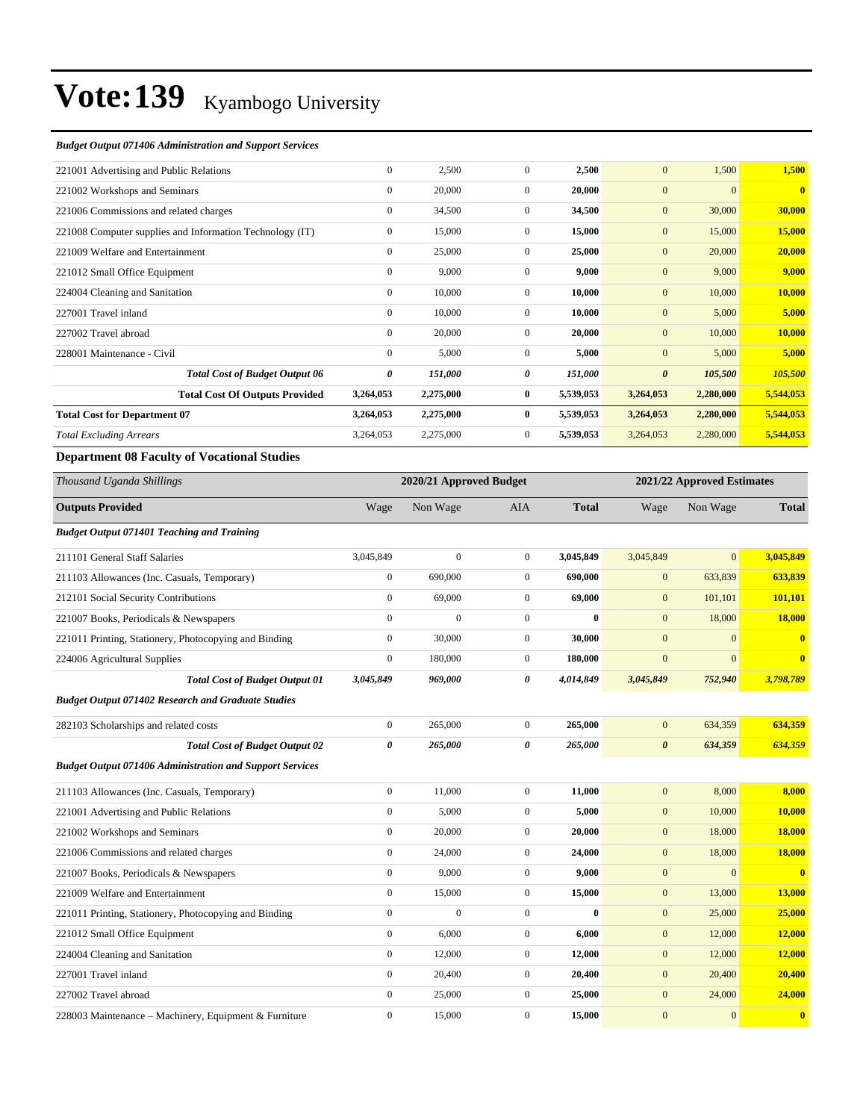#### *Budget Output 071406 Administration and Support Services*

| 221001 Advertising and Public Relations                  | $\mathbf{0}$   | 2,500     | $\overline{0}$ | 2,500     | $\mathbf{0}$          | 1,500     | 1,500        |
|----------------------------------------------------------|----------------|-----------|----------------|-----------|-----------------------|-----------|--------------|
| 221002 Workshops and Seminars                            | $\mathbf{0}$   | 20,000    | $\Omega$       | 20,000    | $\mathbf{0}$          | $\Omega$  | $\mathbf{0}$ |
| 221006 Commissions and related charges                   | $\overline{0}$ | 34,500    | $\overline{0}$ | 34,500    | $\mathbf{0}$          | 30,000    | 30,000       |
| 221008 Computer supplies and Information Technology (IT) | $\mathbf{0}$   | 15,000    | $\overline{0}$ | 15,000    | $\mathbf{0}$          | 15,000    | 15,000       |
| 221009 Welfare and Entertainment                         | $\mathbf{0}$   | 25,000    | $\mathbf{0}$   | 25,000    | $\mathbf{0}$          | 20,000    | 20,000       |
| 221012 Small Office Equipment                            | $\mathbf{0}$   | 9,000     | $\overline{0}$ | 9,000     | $\mathbf{0}$          | 9,000     | 9,000        |
| 224004 Cleaning and Sanitation                           | $\overline{0}$ | 10,000    | $\Omega$       | 10,000    | $\mathbf{0}$          | 10,000    | 10,000       |
| 227001 Travel inland                                     | $\overline{0}$ | 10,000    | $\overline{0}$ | 10,000    | $\mathbf{0}$          | 5,000     | 5,000        |
| 227002 Travel abroad                                     | $\mathbf{0}$   | 20,000    | $\overline{0}$ | 20,000    | $\mathbf{0}$          | 10,000    | 10,000       |
| 228001 Maintenance - Civil                               | $\overline{0}$ | 5,000     | $\overline{0}$ | 5,000     | $\mathbf{0}$          | 5,000     | 5,000        |
| <b>Total Cost of Budget Output 06</b>                    | 0              | 151,000   | 0              | 151,000   | $\boldsymbol{\theta}$ | 105,500   | 105,500      |
| <b>Total Cost Of Outputs Provided</b>                    | 3,264,053      | 2,275,000 | $\bf{0}$       | 5,539,053 | 3,264,053             | 2,280,000 | 5,544,053    |
| <b>Total Cost for Department 07</b>                      | 3,264,053      | 2,275,000 | $\bf{0}$       | 5,539,053 | 3,264,053             | 2,280,000 | 5,544,053    |
| <b>Total Excluding Arrears</b>                           | 3,264,053      | 2,275,000 | $\overline{0}$ | 5,539,053 | 3,264,053             | 2,280,000 | 5,544,053    |
|                                                          |                |           |                |           |                       |           |              |

### **Department 08 Faculty of Vocational Studies**

| Thousand Uganda Shillings                                       |                  | 2020/21 Approved Budget |                |              |                       | 2021/22 Approved Estimates |                         |
|-----------------------------------------------------------------|------------------|-------------------------|----------------|--------------|-----------------------|----------------------------|-------------------------|
| <b>Outputs Provided</b>                                         | Wage             | Non Wage                | <b>AIA</b>     | <b>Total</b> | Wage                  | Non Wage                   | <b>Total</b>            |
| <b>Budget Output 071401 Teaching and Training</b>               |                  |                         |                |              |                       |                            |                         |
| 211101 General Staff Salaries                                   | 3,045,849        | $\mathbf{0}$            | $\overline{0}$ | 3,045,849    | 3,045,849             | $\overline{0}$             | 3,045,849               |
| 211103 Allowances (Inc. Casuals, Temporary)                     | $\boldsymbol{0}$ | 690,000                 | $\mathbf{0}$   | 690,000      | $\mathbf{0}$          | 633,839                    | 633,839                 |
| 212101 Social Security Contributions                            | $\mathbf{0}$     | 69,000                  | $\overline{0}$ | 69,000       | $\mathbf{0}$          | 101,101                    | 101,101                 |
| 221007 Books, Periodicals & Newspapers                          | $\mathbf{0}$     | $\mathbf{0}$            | $\overline{0}$ | $\bf{0}$     | $\mathbf{0}$          | 18,000                     | 18,000                  |
| 221011 Printing, Stationery, Photocopying and Binding           | $\mathbf{0}$     | 30,000                  | $\overline{0}$ | 30,000       | $\mathbf{0}$          | $\overline{0}$             | $\bf{0}$                |
| 224006 Agricultural Supplies                                    | $\mathbf{0}$     | 180,000                 | $\overline{0}$ | 180,000      | $\mathbf{0}$          | $\overline{0}$             | $\overline{\mathbf{0}}$ |
| <b>Total Cost of Budget Output 01</b>                           | 3,045,849        | 969,000                 | 0              | 4,014,849    | 3,045,849             | 752,940                    | 3,798,789               |
| <b>Budget Output 071402 Research and Graduate Studies</b>       |                  |                         |                |              |                       |                            |                         |
| 282103 Scholarships and related costs                           | $\boldsymbol{0}$ | 265,000                 | $\overline{0}$ | 265,000      | $\mathbf{0}$          | 634,359                    | 634,359                 |
| <b>Total Cost of Budget Output 02</b>                           | 0                | 265,000                 | 0              | 265,000      | $\boldsymbol{\theta}$ | 634,359                    | 634,359                 |
| <b>Budget Output 071406 Administration and Support Services</b> |                  |                         |                |              |                       |                            |                         |
| 211103 Allowances (Inc. Casuals, Temporary)                     | $\mathbf{0}$     | 11,000                  | $\overline{0}$ | 11,000       | $\mathbf{0}$          | 8,000                      | 8,000                   |
| 221001 Advertising and Public Relations                         | $\mathbf{0}$     | 5,000                   | $\mathbf{0}$   | 5,000        | $\mathbf{0}$          | 10,000                     | 10,000                  |
| 221002 Workshops and Seminars                                   | $\mathbf{0}$     | 20,000                  | $\mathbf{0}$   | 20,000       | $\mathbf{0}$          | 18,000                     | 18,000                  |
| 221006 Commissions and related charges                          | $\mathbf{0}$     | 24,000                  | $\overline{0}$ | 24,000       | $\mathbf{0}$          | 18,000                     | 18,000                  |
| 221007 Books, Periodicals & Newspapers                          | $\mathbf{0}$     | 9,000                   | $\overline{0}$ | 9,000        | $\mathbf{0}$          | $\overline{0}$             | $\bf{0}$                |
| 221009 Welfare and Entertainment                                | $\mathbf{0}$     | 15,000                  | $\overline{0}$ | 15,000       | $\mathbf{0}$          | 13,000                     | 13,000                  |
| 221011 Printing, Stationery, Photocopying and Binding           | $\mathbf{0}$     | $\mathbf{0}$            | $\mathbf{0}$   | $\bf{0}$     | $\mathbf{0}$          | 25,000                     | 25,000                  |
| 221012 Small Office Equipment                                   | $\mathbf{0}$     | 6,000                   | $\overline{0}$ | 6,000        | $\mathbf{0}$          | 12,000                     | 12,000                  |
| 224004 Cleaning and Sanitation                                  | $\mathbf{0}$     | 12,000                  | $\overline{0}$ | 12,000       | $\mathbf{0}$          | 12,000                     | 12,000                  |
| 227001 Travel inland                                            | $\mathbf{0}$     | 20,400                  | $\overline{0}$ | 20,400       | $\mathbf{0}$          | 20,400                     | 20,400                  |
| 227002 Travel abroad                                            | $\mathbf{0}$     | 25,000                  | $\overline{0}$ | 25,000       | $\mathbf{0}$          | 24,000                     | 24,000                  |
| 228003 Maintenance – Machinery, Equipment & Furniture           | $\mathbf{0}$     | 15,000                  | $\mathbf{0}$   | 15.000       | $\mathbf{0}$          | $\overline{0}$             | $\bf{0}$                |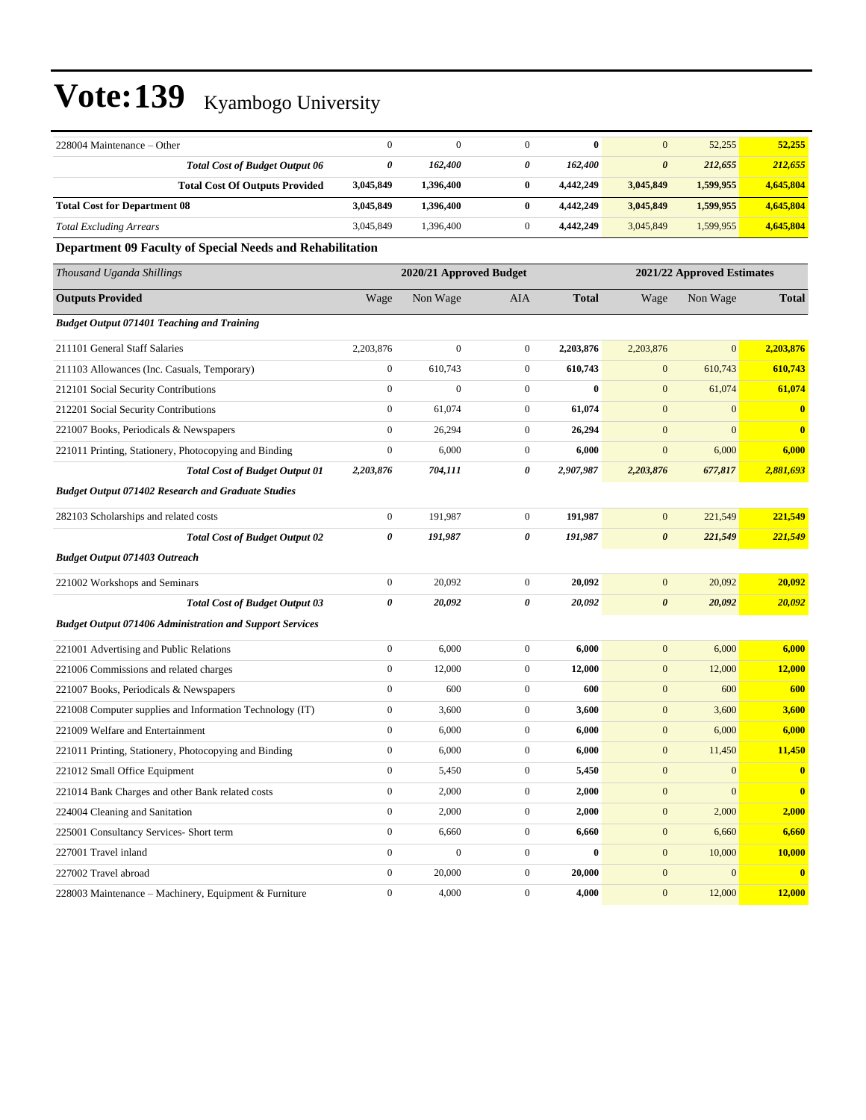| 228004 Maintenance – Other                                      | $\boldsymbol{0}$      | $\mathbf{0}$            | $\mathbf{0}$     | $\bf{0}$     | $\mathbf{0}$          | 52,255                     | 52,255       |
|-----------------------------------------------------------------|-----------------------|-------------------------|------------------|--------------|-----------------------|----------------------------|--------------|
| <b>Total Cost of Budget Output 06</b>                           | 0                     | 162,400                 | 0                | 162,400      | $\boldsymbol{\theta}$ | 212,655                    | 212,655      |
| <b>Total Cost Of Outputs Provided</b>                           | 3,045,849             | 1,396,400               | $\bf{0}$         | 4,442,249    | 3,045,849             | 1,599,955                  | 4,645,804    |
| <b>Total Cost for Department 08</b>                             | 3,045,849             | 1,396,400               | $\bf{0}$         | 4,442,249    | 3,045,849             | 1,599,955                  | 4,645,804    |
| <b>Total Excluding Arrears</b>                                  | 3,045,849             | 1,396,400               | $\boldsymbol{0}$ | 4,442,249    | 3,045,849             | 1,599,955                  | 4,645,804    |
| Department 09 Faculty of Special Needs and Rehabilitation       |                       |                         |                  |              |                       |                            |              |
| Thousand Uganda Shillings                                       |                       | 2020/21 Approved Budget |                  |              |                       | 2021/22 Approved Estimates |              |
| <b>Outputs Provided</b>                                         | Wage                  | Non Wage                | AIA              | <b>Total</b> | Wage                  | Non Wage                   | <b>Total</b> |
| <b>Budget Output 071401 Teaching and Training</b>               |                       |                         |                  |              |                       |                            |              |
| 211101 General Staff Salaries                                   | 2,203,876             | $\mathbf{0}$            | $\boldsymbol{0}$ | 2,203,876    | 2,203,876             | $\mathbf{0}$               | 2,203,876    |
| 211103 Allowances (Inc. Casuals, Temporary)                     | $\boldsymbol{0}$      | 610,743                 | $\mathbf{0}$     | 610,743      | $\boldsymbol{0}$      | 610,743                    | 610,743      |
| 212101 Social Security Contributions                            | $\boldsymbol{0}$      | $\boldsymbol{0}$        | $\boldsymbol{0}$ | $\bf{0}$     | $\mathbf{0}$          | 61,074                     | 61,074       |
| 212201 Social Security Contributions                            | $\boldsymbol{0}$      | 61,074                  | $\boldsymbol{0}$ | 61,074       | $\mathbf{0}$          | $\mathbf{0}$               | $\bf{0}$     |
| 221007 Books, Periodicals & Newspapers                          | $\boldsymbol{0}$      | 26,294                  | $\boldsymbol{0}$ | 26,294       | $\boldsymbol{0}$      | $\mathbf{0}$               | $\mathbf{0}$ |
| 221011 Printing, Stationery, Photocopying and Binding           | $\boldsymbol{0}$      | 6,000                   | $\boldsymbol{0}$ | 6,000        | $\mathbf{0}$          | 6,000                      | 6,000        |
| <b>Total Cost of Budget Output 01</b>                           | 2,203,876             | 704,111                 | 0                | 2,907,987    | 2,203,876             | 677,817                    | 2,881,693    |
| <b>Budget Output 071402 Research and Graduate Studies</b>       |                       |                         |                  |              |                       |                            |              |
| 282103 Scholarships and related costs                           | $\boldsymbol{0}$      | 191.987                 | $\boldsymbol{0}$ | 191,987      | $\mathbf{0}$          | 221,549                    | 221,549      |
| <b>Total Cost of Budget Output 02</b>                           | $\boldsymbol{\theta}$ | 191,987                 | 0                | 191,987      | $\boldsymbol{\theta}$ | 221,549                    | 221,549      |
| <b>Budget Output 071403 Outreach</b>                            |                       |                         |                  |              |                       |                            |              |
| 221002 Workshops and Seminars                                   | $\boldsymbol{0}$      | 20,092                  | $\mathbf{0}$     | 20,092       | $\boldsymbol{0}$      | 20,092                     | 20,092       |
| <b>Total Cost of Budget Output 03</b>                           | 0                     | 20,092                  | 0                | 20,092       | $\boldsymbol{\theta}$ | 20,092                     | 20,092       |
| <b>Budget Output 071406 Administration and Support Services</b> |                       |                         |                  |              |                       |                            |              |
| 221001 Advertising and Public Relations                         | $\boldsymbol{0}$      | 6,000                   | $\boldsymbol{0}$ | 6,000        | $\mathbf{0}$          | 6,000                      | 6,000        |
| 221006 Commissions and related charges                          | $\boldsymbol{0}$      | 12,000                  | $\mathbf{0}$     | 12,000       | $\boldsymbol{0}$      | 12,000                     | 12,000       |
| 221007 Books, Periodicals & Newspapers                          | $\boldsymbol{0}$      | 600                     | $\boldsymbol{0}$ | 600          | $\boldsymbol{0}$      | 600                        | 600          |
| 221008 Computer supplies and Information Technology (IT)        | $\boldsymbol{0}$      | 3,600                   | $\boldsymbol{0}$ | 3,600        | $\boldsymbol{0}$      | 3,600                      | 3,600        |
| 221009 Welfare and Entertainment                                | $\boldsymbol{0}$      | 6,000                   | $\boldsymbol{0}$ | 6,000        | $\mathbf{0}$          | 6,000                      | 6,000        |
| 221011 Printing, Stationery, Photocopying and Binding           | $\boldsymbol{0}$      | 6,000                   | $\boldsymbol{0}$ | 6,000        | $\boldsymbol{0}$      | 11,450                     | 11,450       |
| 221012 Small Office Equipment                                   | $\boldsymbol{0}$      | 5,450                   | $\boldsymbol{0}$ | 5,450        | $\boldsymbol{0}$      | $\boldsymbol{0}$           | $\bf{0}$     |
| 221014 Bank Charges and other Bank related costs                | $\boldsymbol{0}$      | 2,000                   | $\boldsymbol{0}$ | 2,000        | $\boldsymbol{0}$      | $\boldsymbol{0}$           | $\bf{0}$     |
| 224004 Cleaning and Sanitation                                  | $\boldsymbol{0}$      | 2,000                   | $\boldsymbol{0}$ | 2,000        | $\boldsymbol{0}$      | 2,000                      | 2,000        |
| 225001 Consultancy Services- Short term                         | $\boldsymbol{0}$      | 6,660                   | $\overline{0}$   | 6,660        | $\boldsymbol{0}$      | 6,660                      | 6,660        |
| 227001 Travel inland                                            | $\boldsymbol{0}$      | $\boldsymbol{0}$        | $\overline{0}$   | 0            | $\boldsymbol{0}$      | 10,000                     | 10,000       |
| 227002 Travel abroad                                            | $\boldsymbol{0}$      | 20,000                  | $\overline{0}$   | 20,000       | $\boldsymbol{0}$      | $\boldsymbol{0}$           | $\mathbf{0}$ |
| 228003 Maintenance - Machinery, Equipment & Furniture           | $\boldsymbol{0}$      | 4,000                   | $\overline{0}$   | 4,000        | $\mathbf{0}$          | 12,000                     | 12,000       |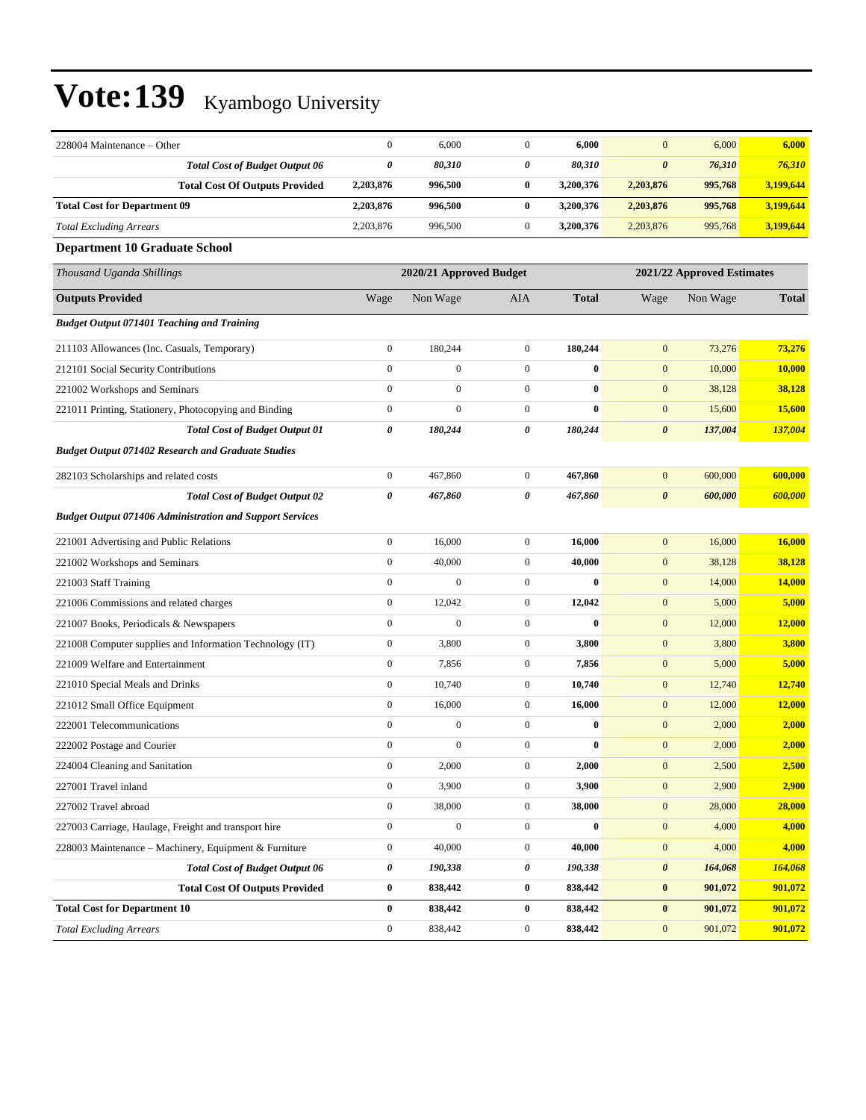| 228004 Maintenance - Other                                      | $\boldsymbol{0}$ | 6,000                   | $\boldsymbol{0}$ | 6,000            | $\mathbf{0}$          | 6,000                      | 6,000         |
|-----------------------------------------------------------------|------------------|-------------------------|------------------|------------------|-----------------------|----------------------------|---------------|
| <b>Total Cost of Budget Output 06</b>                           | $\pmb{\theta}$   | 80,310                  | 0                | 80,310           | $\pmb{\theta}$        | 76,310                     | 76,310        |
| <b>Total Cost Of Outputs Provided</b>                           | 2,203,876        | 996,500                 | $\bf{0}$         | 3,200,376        | 2,203,876             | 995,768                    | 3,199,644     |
| <b>Total Cost for Department 09</b>                             | 2,203,876        | 996,500                 | $\bf{0}$         | 3,200,376        | 2,203,876             | 995,768                    | 3,199,644     |
| <b>Total Excluding Arrears</b>                                  | 2,203,876        | 996,500                 | $\mathbf{0}$     | 3,200,376        | 2,203,876             | 995,768                    | 3,199,644     |
| <b>Department 10 Graduate School</b>                            |                  |                         |                  |                  |                       |                            |               |
| Thousand Uganda Shillings                                       |                  | 2020/21 Approved Budget |                  |                  |                       | 2021/22 Approved Estimates |               |
| <b>Outputs Provided</b>                                         | Wage             | Non Wage                | <b>AIA</b>       | <b>Total</b>     | Wage                  | Non Wage                   | <b>Total</b>  |
| <b>Budget Output 071401 Teaching and Training</b>               |                  |                         |                  |                  |                       |                            |               |
| 211103 Allowances (Inc. Casuals, Temporary)                     | $\boldsymbol{0}$ | 180,244                 | $\boldsymbol{0}$ | 180,244          | $\mathbf{0}$          | 73,276                     | 73,276        |
| 212101 Social Security Contributions                            | $\boldsymbol{0}$ | $\boldsymbol{0}$        | $\mathbf{0}$     | $\bf{0}$         | $\mathbf{0}$          | 10,000                     | 10,000        |
| 221002 Workshops and Seminars                                   | $\boldsymbol{0}$ | $\boldsymbol{0}$        | $\mathbf{0}$     | $\bf{0}$         | $\mathbf{0}$          | 38,128                     | 38,128        |
| 221011 Printing, Stationery, Photocopying and Binding           | $\boldsymbol{0}$ | $\overline{0}$          | $\boldsymbol{0}$ | $\bf{0}$         | $\boldsymbol{0}$      | 15,600                     | <b>15,600</b> |
| <b>Total Cost of Budget Output 01</b>                           | 0                | 180,244                 | 0                | 180,244          | $\boldsymbol{\theta}$ | 137,004                    | 137,004       |
| <b>Budget Output 071402 Research and Graduate Studies</b>       |                  |                         |                  |                  |                       |                            |               |
| 282103 Scholarships and related costs                           | $\boldsymbol{0}$ | 467,860                 | $\boldsymbol{0}$ | 467,860          | $\boldsymbol{0}$      | 600,000                    | 600,000       |
| <b>Total Cost of Budget Output 02</b>                           | 0                | 467,860                 | $\pmb{\theta}$   | 467,860          | $\pmb{\theta}$        | 600,000                    | 600,000       |
| <b>Budget Output 071406 Administration and Support Services</b> |                  |                         |                  |                  |                       |                            |               |
| 221001 Advertising and Public Relations                         | $\boldsymbol{0}$ | 16,000                  | $\mathbf{0}$     | 16,000           | $\mathbf{0}$          | 16,000                     | 16,000        |
| 221002 Workshops and Seminars                                   | $\boldsymbol{0}$ | 40,000                  | $\mathbf{0}$     | 40,000           | $\mathbf{0}$          | 38,128                     | 38,128        |
| 221003 Staff Training                                           | $\boldsymbol{0}$ | $\mathbf{0}$            | $\boldsymbol{0}$ | $\bf{0}$         | $\mathbf{0}$          | 14,000                     | 14,000        |
| 221006 Commissions and related charges                          | $\boldsymbol{0}$ | 12,042                  | $\boldsymbol{0}$ | 12,042           | $\mathbf{0}$          | 5,000                      | 5,000         |
| 221007 Books, Periodicals & Newspapers                          | $\boldsymbol{0}$ | $\boldsymbol{0}$        | $\boldsymbol{0}$ | $\boldsymbol{0}$ | $\boldsymbol{0}$      | 12,000                     | 12,000        |
| 221008 Computer supplies and Information Technology (IT)        | $\boldsymbol{0}$ | 3,800                   | $\mathbf{0}$     | 3,800            | $\mathbf{0}$          | 3,800                      | 3,800         |
| 221009 Welfare and Entertainment                                | $\boldsymbol{0}$ | 7,856                   | $\mathbf{0}$     | 7,856            | $\boldsymbol{0}$      | 5,000                      | 5,000         |
| 221010 Special Meals and Drinks                                 | $\boldsymbol{0}$ | 10,740                  | $\boldsymbol{0}$ | 10,740           | $\mathbf{0}$          | 12,740                     | 12,740        |
| 221012 Small Office Equipment                                   | $\boldsymbol{0}$ | 16,000                  | $\boldsymbol{0}$ | 16,000           | $\mathbf{0}$          | 12,000                     | 12,000        |
| 222001 Telecommunications                                       | $\boldsymbol{0}$ | $\boldsymbol{0}$        | $\mathbf{0}$     | $\bf{0}$         | $\mathbf{0}$          | 2,000                      | 2,000         |
| 222002 Postage and Courier                                      | $\boldsymbol{0}$ | $\boldsymbol{0}$        | $\boldsymbol{0}$ | $\bf{0}$         | $\mathbf{0}$          | 2,000                      | 2,000         |
| 224004 Cleaning and Sanitation                                  | $\boldsymbol{0}$ | 2,000                   | $\overline{0}$   | 2,000            | $\boldsymbol{0}$      | 2,500                      | 2,500         |
| 227001 Travel inland                                            | $\boldsymbol{0}$ | 3,900                   | $\boldsymbol{0}$ | 3,900            | $\boldsymbol{0}$      | 2,900                      | 2,900         |
| 227002 Travel abroad                                            | $\boldsymbol{0}$ | 38,000                  | $\boldsymbol{0}$ | 38,000           | $\boldsymbol{0}$      | 28,000                     | 28,000        |
| 227003 Carriage, Haulage, Freight and transport hire            | $\boldsymbol{0}$ | $\boldsymbol{0}$        | $\mathbf{0}$     | $\bf{0}$         | $\boldsymbol{0}$      | 4,000                      | 4,000         |
| 228003 Maintenance - Machinery, Equipment & Furniture           | $\boldsymbol{0}$ | 40,000                  | $\boldsymbol{0}$ | 40,000           | $\boldsymbol{0}$      | 4,000                      | 4,000         |
| <b>Total Cost of Budget Output 06</b>                           | $\pmb{\theta}$   | 190,338                 | 0                | 190,338          | $\pmb{\theta}$        | 164,068                    | 164,068       |
| <b>Total Cost Of Outputs Provided</b>                           | $\bf{0}$         | 838,442                 | $\bf{0}$         | 838,442          | $\pmb{0}$             | 901,072                    | 901,072       |
| <b>Total Cost for Department 10</b>                             | $\bf{0}$         | 838,442                 | $\bf{0}$         | 838,442          | $\bf{0}$              | 901,072                    | 901,072       |
| <b>Total Excluding Arrears</b>                                  | $\boldsymbol{0}$ | 838,442                 | $\boldsymbol{0}$ | 838,442          | $\boldsymbol{0}$      | 901,072                    | 901,072       |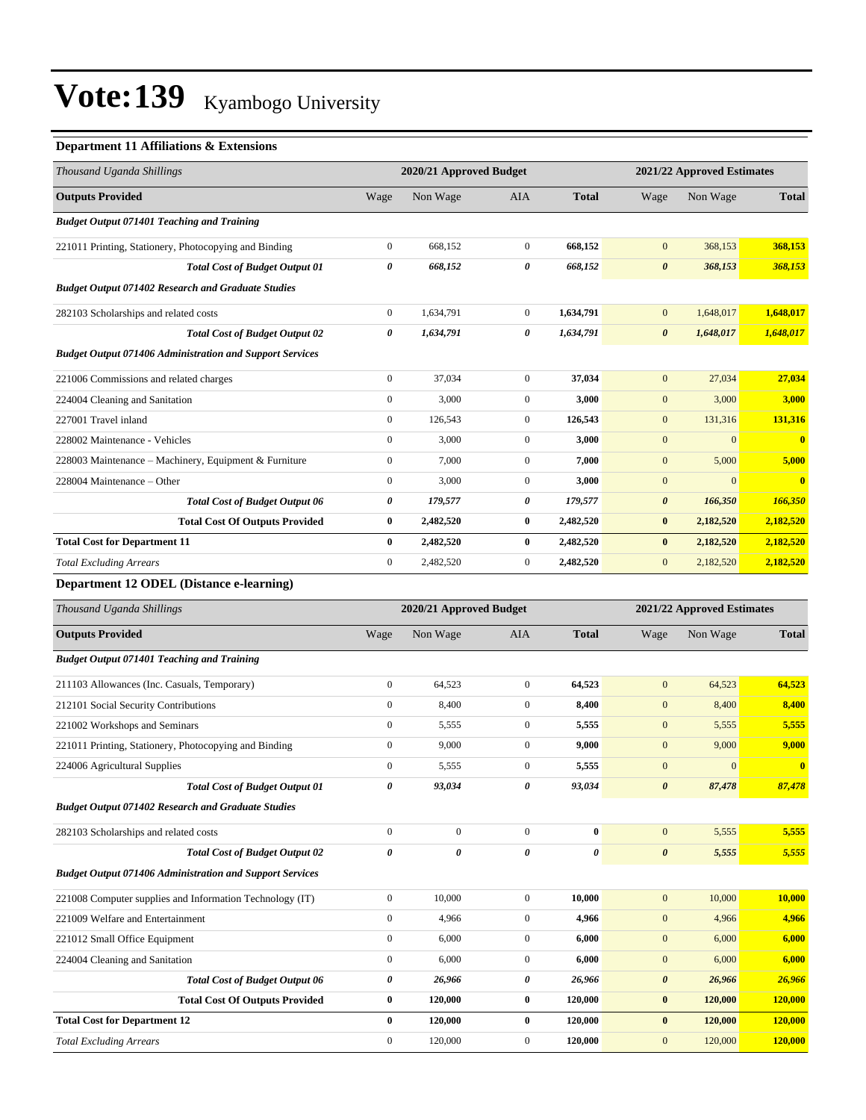### **Department 11 Affiliations & Extensions**

| Thousand Uganda Shillings                                       |                  | 2020/21 Approved Budget |                  |              | 2021/22 Approved Estimates |                            |                         |  |
|-----------------------------------------------------------------|------------------|-------------------------|------------------|--------------|----------------------------|----------------------------|-------------------------|--|
| <b>Outputs Provided</b>                                         | Wage             | Non Wage                | AIA              | <b>Total</b> | Wage                       | Non Wage                   | <b>Total</b>            |  |
| <b>Budget Output 071401 Teaching and Training</b>               |                  |                         |                  |              |                            |                            |                         |  |
| 221011 Printing, Stationery, Photocopying and Binding           | $\boldsymbol{0}$ | 668,152                 | $\mathbf{0}$     | 668,152      | $\mathbf{0}$               | 368,153                    | 368,153                 |  |
| <b>Total Cost of Budget Output 01</b>                           | 0                | 668,152                 | 0                | 668,152      | $\boldsymbol{\theta}$      | 368,153                    | 368,153                 |  |
| <b>Budget Output 071402 Research and Graduate Studies</b>       |                  |                         |                  |              |                            |                            |                         |  |
| 282103 Scholarships and related costs                           | $\boldsymbol{0}$ | 1,634,791               | $\boldsymbol{0}$ | 1,634,791    | $\boldsymbol{0}$           | 1,648,017                  | 1,648,017               |  |
| <b>Total Cost of Budget Output 02</b>                           | 0                | 1,634,791               | 0                | 1,634,791    | $\boldsymbol{\theta}$      | 1,648,017                  | 1,648,017               |  |
| <b>Budget Output 071406 Administration and Support Services</b> |                  |                         |                  |              |                            |                            |                         |  |
| 221006 Commissions and related charges                          | $\boldsymbol{0}$ | 37,034                  | $\overline{0}$   | 37,034       | $\mathbf{0}$               | 27,034                     | 27,034                  |  |
| 224004 Cleaning and Sanitation                                  | $\boldsymbol{0}$ | 3,000                   | $\mathbf{0}$     | 3,000        | $\mathbf{0}$               | 3,000                      | 3,000                   |  |
| 227001 Travel inland                                            | $\boldsymbol{0}$ | 126,543                 | $\mathbf{0}$     | 126,543      | $\mathbf{0}$               | 131,316                    | 131,316                 |  |
| 228002 Maintenance - Vehicles                                   | $\boldsymbol{0}$ | 3,000                   | $\mathbf{0}$     | 3,000        | $\mathbf{0}$               | $\mathbf{0}$               | $\bf{0}$                |  |
| 228003 Maintenance – Machinery, Equipment & Furniture           | $\boldsymbol{0}$ | 7,000                   | $\mathbf{0}$     | 7,000        | $\mathbf{0}$               | 5,000                      | 5,000                   |  |
| 228004 Maintenance - Other                                      | $\boldsymbol{0}$ | 3,000                   | $\mathbf{0}$     | 3,000        | $\mathbf{0}$               | $\mathbf{0}$               | $\overline{\mathbf{0}}$ |  |
| <b>Total Cost of Budget Output 06</b>                           | 0                | 179,577                 | 0                | 179,577      | $\boldsymbol{\theta}$      | 166,350                    | 166,350                 |  |
| <b>Total Cost Of Outputs Provided</b>                           | $\bf{0}$         | 2,482,520               | $\bf{0}$         | 2,482,520    | $\bf{0}$                   | 2,182,520                  | 2,182,520               |  |
| <b>Total Cost for Department 11</b>                             | $\bf{0}$         | 2,482,520               | $\bf{0}$         | 2,482,520    | $\bf{0}$                   | 2,182,520                  | 2,182,520               |  |
| <b>Total Excluding Arrears</b>                                  | $\boldsymbol{0}$ | 2,482,520               | $\mathbf{0}$     | 2,482,520    | $\mathbf{0}$               | 2,182,520                  | 2,182,520               |  |
| Department 12 ODEL (Distance e-learning)                        |                  |                         |                  |              |                            |                            |                         |  |
| Thousand Uganda Shillings                                       |                  | 2020/21 Approved Budget |                  |              |                            | 2021/22 Approved Estimates |                         |  |
| <b>Outputs Provided</b>                                         | Wage             | Non Wage                | AIA              | <b>Total</b> | Wage                       | Non Wage                   | <b>Total</b>            |  |
| <b>Budget Output 071401 Teaching and Training</b>               |                  |                         |                  |              |                            |                            |                         |  |
| 211103 Allowances (Inc. Casuals, Temporary)                     | $\boldsymbol{0}$ | 64,523                  | $\boldsymbol{0}$ | 64,523       | $\boldsymbol{0}$           | 64,523                     | 64,523                  |  |
| 212101 Social Security Contributions                            | $\boldsymbol{0}$ | 8,400                   | $\mathbf{0}$     | 8,400        | $\mathbf{0}$               | 8,400                      | 8,400                   |  |
| 221002 Workshops and Seminars                                   | $\boldsymbol{0}$ | 5,555                   | $\mathbf{0}$     | 5,555        | $\mathbf{0}$               | 5,555                      | 5,555                   |  |
| 221011 Printing, Stationery, Photocopying and Binding           | $\boldsymbol{0}$ | 9,000                   | $\mathbf{0}$     | 9,000        | $\mathbf{0}$               | 9,000                      | 9,000                   |  |
| 224006 Agricultural Supplies                                    | $\boldsymbol{0}$ | 5,555                   | $\boldsymbol{0}$ | 5,555        | $\mathbf{0}$               | $\mathbf{0}$               | $\mathbf{0}$            |  |
| <b>Total Cost of Budget Output 01</b>                           | 0                | 93,034                  | 0                | 93,034       | 0                          | 87,478                     | 87,478                  |  |
| <b>Budget Output 071402 Research and Graduate Studies</b>       |                  |                         |                  |              |                            |                            |                         |  |
| 282103 Scholarships and related costs                           | $\boldsymbol{0}$ | $\boldsymbol{0}$        | $\overline{0}$   | $\bf{0}$     | $\boldsymbol{0}$           | 5,555                      | 5,555                   |  |
| <b>Total Cost of Budget Output 02</b>                           | 0                | 0                       | 0                | 0            | $\boldsymbol{\theta}$      | 5,555                      | 5,555                   |  |
| <b>Budget Output 071406 Administration and Support Services</b> |                  |                         |                  |              |                            |                            |                         |  |
| 221008 Computer supplies and Information Technology (IT)        | $\boldsymbol{0}$ | 10,000                  | $\boldsymbol{0}$ | 10,000       | $\boldsymbol{0}$           | 10,000                     | 10,000                  |  |
| 221009 Welfare and Entertainment                                | $\boldsymbol{0}$ | 4,966                   | $\boldsymbol{0}$ | 4,966        | $\mathbf{0}$               | 4,966                      | 4,966                   |  |
| 221012 Small Office Equipment                                   | $\boldsymbol{0}$ | 6,000                   | $\boldsymbol{0}$ | 6,000        | $\mathbf{0}$               | 6,000                      | 6,000                   |  |
| 224004 Cleaning and Sanitation                                  | $\boldsymbol{0}$ | 6,000                   | $\boldsymbol{0}$ | 6,000        | $\boldsymbol{0}$           | 6,000                      | 6,000                   |  |
| <b>Total Cost of Budget Output 06</b>                           | 0                | 26,966                  | 0                | 26,966       | $\boldsymbol{\theta}$      | 26,966                     | 26,966                  |  |
| <b>Total Cost Of Outputs Provided</b>                           | $\pmb{0}$        | 120,000                 | $\bf{0}$         | 120,000      | $\boldsymbol{0}$           | 120,000                    | 120,000                 |  |
| <b>Total Cost for Department 12</b>                             | $\bf{0}$         | 120,000                 | $\bf{0}$         | 120,000      | $\bf{0}$                   | 120,000                    | 120,000                 |  |
|                                                                 |                  |                         |                  |              |                            |                            |                         |  |